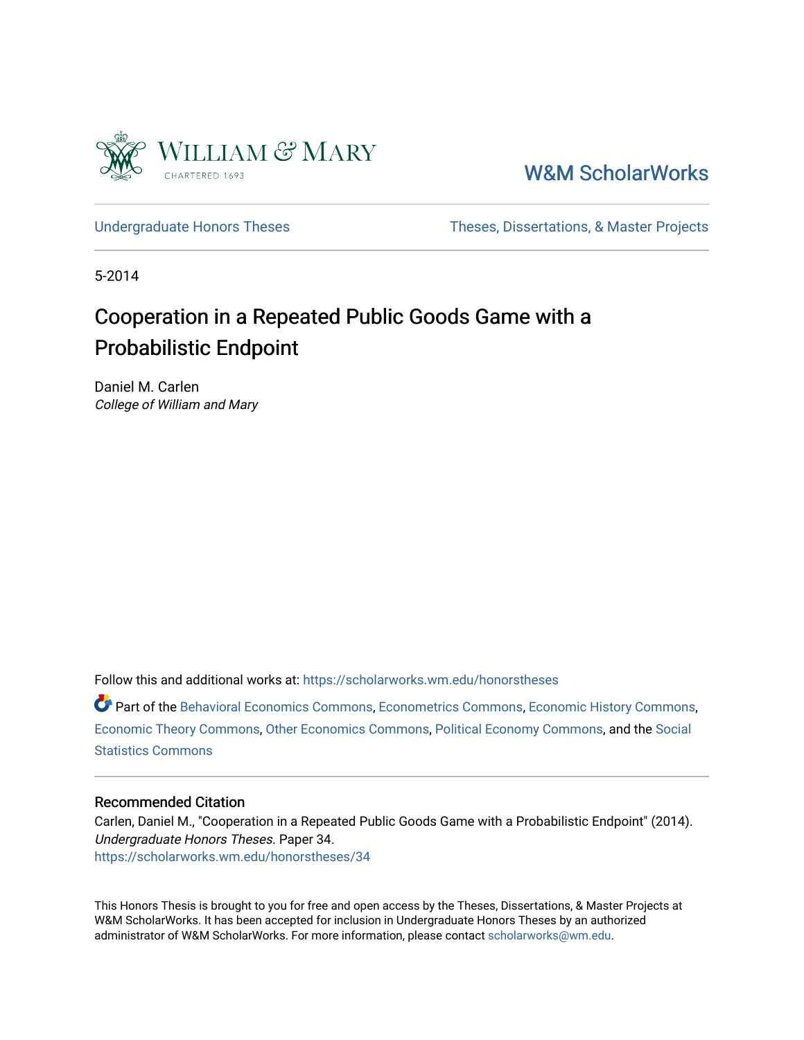

# [W&M ScholarWorks](https://scholarworks.wm.edu/)

[Undergraduate Honors Theses](https://scholarworks.wm.edu/honorstheses) Theses Theses, Dissertations, & Master Projects

5-2014

# Cooperation in a Repeated Public Goods Game with a Probabilistic Endpoint

Daniel M. Carlen College of William and Mary

Follow this and additional works at: [https://scholarworks.wm.edu/honorstheses](https://scholarworks.wm.edu/honorstheses?utm_source=scholarworks.wm.edu%2Fhonorstheses%2F34&utm_medium=PDF&utm_campaign=PDFCoverPages) 

Part of the [Behavioral Economics Commons](http://network.bepress.com/hgg/discipline/341?utm_source=scholarworks.wm.edu%2Fhonorstheses%2F34&utm_medium=PDF&utm_campaign=PDFCoverPages), [Econometrics Commons](http://network.bepress.com/hgg/discipline/342?utm_source=scholarworks.wm.edu%2Fhonorstheses%2F34&utm_medium=PDF&utm_campaign=PDFCoverPages), [Economic History Commons,](http://network.bepress.com/hgg/discipline/343?utm_source=scholarworks.wm.edu%2Fhonorstheses%2F34&utm_medium=PDF&utm_campaign=PDFCoverPages) [Economic Theory Commons,](http://network.bepress.com/hgg/discipline/344?utm_source=scholarworks.wm.edu%2Fhonorstheses%2F34&utm_medium=PDF&utm_campaign=PDFCoverPages) [Other Economics Commons](http://network.bepress.com/hgg/discipline/353?utm_source=scholarworks.wm.edu%2Fhonorstheses%2F34&utm_medium=PDF&utm_campaign=PDFCoverPages), [Political Economy Commons](http://network.bepress.com/hgg/discipline/352?utm_source=scholarworks.wm.edu%2Fhonorstheses%2F34&utm_medium=PDF&utm_campaign=PDFCoverPages), and the [Social](http://network.bepress.com/hgg/discipline/1275?utm_source=scholarworks.wm.edu%2Fhonorstheses%2F34&utm_medium=PDF&utm_campaign=PDFCoverPages)  [Statistics Commons](http://network.bepress.com/hgg/discipline/1275?utm_source=scholarworks.wm.edu%2Fhonorstheses%2F34&utm_medium=PDF&utm_campaign=PDFCoverPages)

### Recommended Citation

Carlen, Daniel M., "Cooperation in a Repeated Public Goods Game with a Probabilistic Endpoint" (2014). Undergraduate Honors Theses. Paper 34. [https://scholarworks.wm.edu/honorstheses/34](https://scholarworks.wm.edu/honorstheses/34?utm_source=scholarworks.wm.edu%2Fhonorstheses%2F34&utm_medium=PDF&utm_campaign=PDFCoverPages)

This Honors Thesis is brought to you for free and open access by the Theses, Dissertations, & Master Projects at W&M ScholarWorks. It has been accepted for inclusion in Undergraduate Honors Theses by an authorized administrator of W&M ScholarWorks. For more information, please contact [scholarworks@wm.edu.](mailto:scholarworks@wm.edu)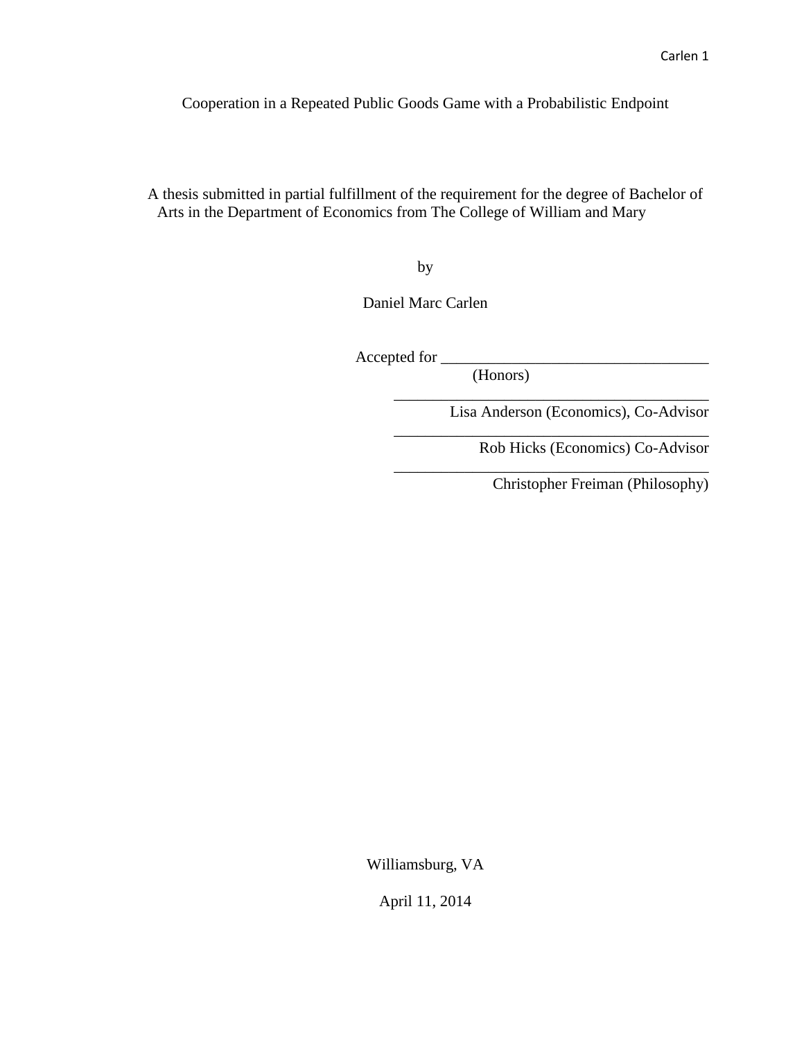Cooperation in a Repeated Public Goods Game with a Probabilistic Endpoint

A thesis submitted in partial fulfillment of the requirement for the degree of Bachelor of Arts in the Department of Economics from The College of William and Mary

by

Daniel Marc Carlen

Accepted for \_\_\_\_\_\_\_\_\_\_\_\_\_\_\_\_\_\_\_\_\_\_\_\_\_\_\_\_\_\_\_\_\_\_

(Honors)

Lisa Anderson (Economics), Co-Advisor

\_\_\_\_\_\_\_\_\_\_\_\_\_\_\_\_\_\_\_\_\_\_\_\_\_\_\_\_\_\_\_\_\_\_\_\_\_\_\_\_

\_\_\_\_\_\_\_\_\_\_\_\_\_\_\_\_\_\_\_\_\_\_\_\_\_\_\_\_\_\_\_\_\_\_\_\_\_\_\_\_

\_\_\_\_\_\_\_\_\_\_\_\_\_\_\_\_\_\_\_\_\_\_\_\_\_\_\_\_\_\_\_\_\_\_\_\_\_\_\_\_

Rob Hicks (Economics) Co-Advisor

Christopher Freiman (Philosophy)

Williamsburg, VA

April 11, 2014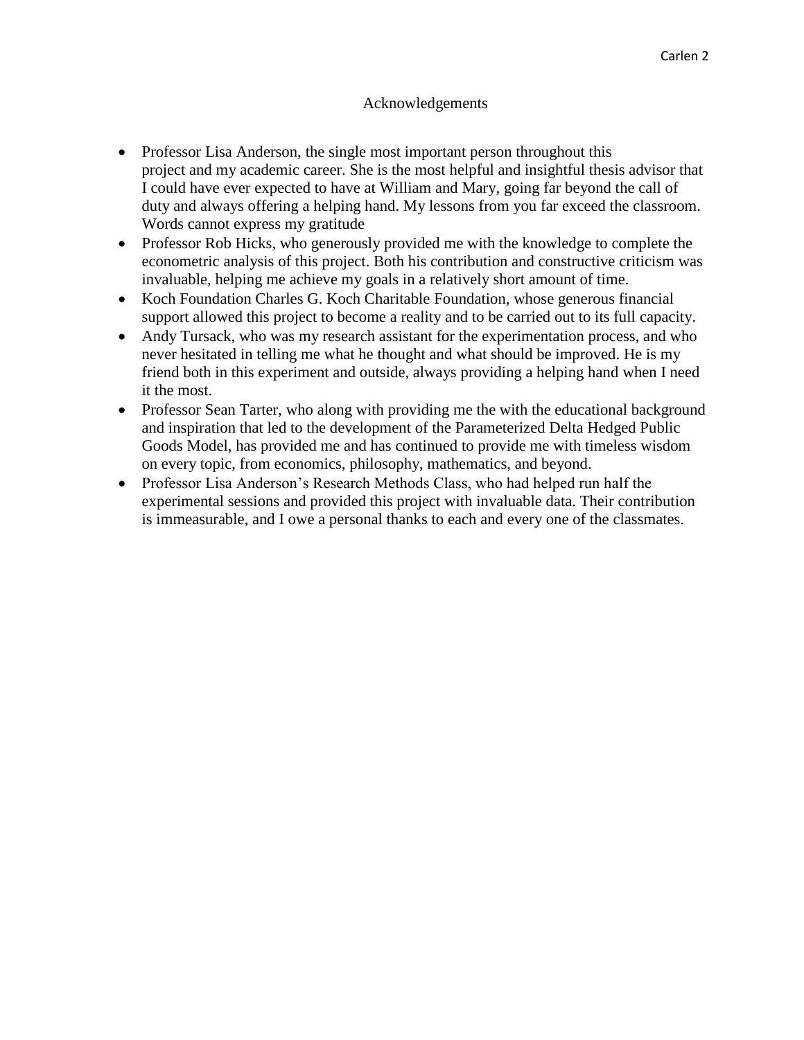### Acknowledgements

- Professor Lisa Anderson, the single most important person throughout this project and my academic career. She is the most helpful and insightful thesis advisor that I could have ever expected to have at William and Mary, going far beyond the call of duty and always offering a helping hand. My lessons from you far exceed the classroom. Words cannot express my gratitude
- Professor Rob Hicks, who generously provided me with the knowledge to complete the econometric analysis of this project. Both his contribution and constructive criticism was invaluable, helping me achieve my goals in a relatively short amount of time.
- Koch Foundation Charles G. Koch Charitable Foundation, whose generous financial support allowed this project to become a reality and to be carried out to its full capacity.
- Andy Tursack, who was my research assistant for the experimentation process, and who never hesitated in telling me what he thought and what should be improved. He is my friend both in this experiment and outside, always providing a helping hand when I need it the most.
- Professor Sean Tarter, who along with providing me the with the educational background and inspiration that led to the development of the Parameterized Delta Hedged Public Goods Model, has provided me and has continued to provide me with timeless wisdom on every topic, from economics, philosophy, mathematics, and beyond.
- Professor Lisa Anderson's Research Methods Class, who had helped run half the experimental sessions and provided this project with invaluable data. Their contribution is immeasurable, and I owe a personal thanks to each and every one of the classmates.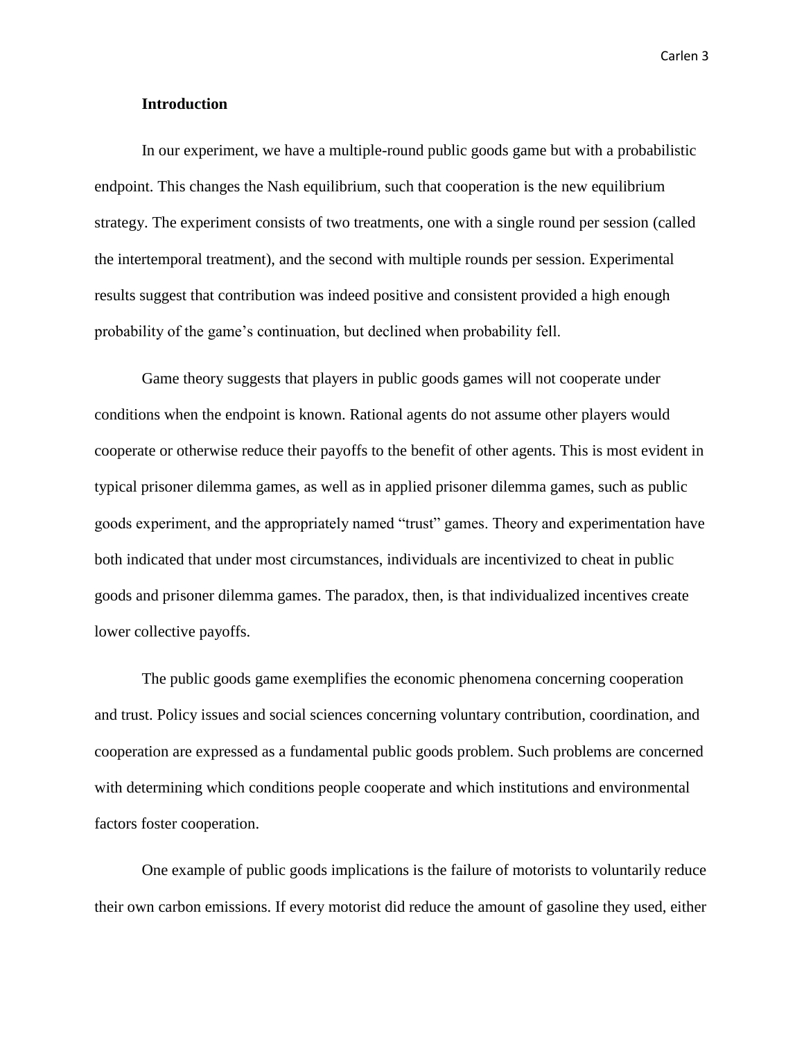### **Introduction**

In our experiment, we have a multiple-round public goods game but with a probabilistic endpoint. This changes the Nash equilibrium, such that cooperation is the new equilibrium strategy. The experiment consists of two treatments, one with a single round per session (called the intertemporal treatment), and the second with multiple rounds per session. Experimental results suggest that contribution was indeed positive and consistent provided a high enough probability of the game's continuation, but declined when probability fell.

Game theory suggests that players in public goods games will not cooperate under conditions when the endpoint is known. Rational agents do not assume other players would cooperate or otherwise reduce their payoffs to the benefit of other agents. This is most evident in typical prisoner dilemma games, as well as in applied prisoner dilemma games, such as public goods experiment, and the appropriately named "trust" games. Theory and experimentation have both indicated that under most circumstances, individuals are incentivized to cheat in public goods and prisoner dilemma games. The paradox, then, is that individualized incentives create lower collective payoffs.

The public goods game exemplifies the economic phenomena concerning cooperation and trust. Policy issues and social sciences concerning voluntary contribution, coordination, and cooperation are expressed as a fundamental public goods problem. Such problems are concerned with determining which conditions people cooperate and which institutions and environmental factors foster cooperation.

One example of public goods implications is the failure of motorists to voluntarily reduce their own carbon emissions. If every motorist did reduce the amount of gasoline they used, either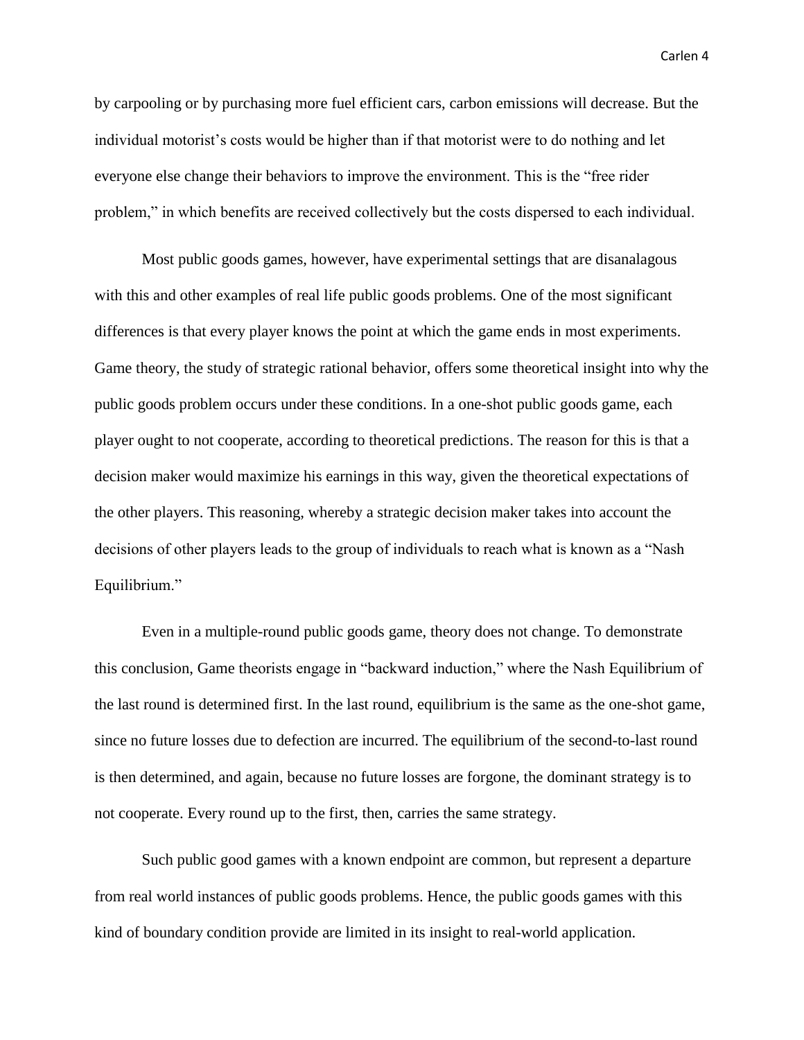by carpooling or by purchasing more fuel efficient cars, carbon emissions will decrease. But the individual motorist's costs would be higher than if that motorist were to do nothing and let everyone else change their behaviors to improve the environment. This is the "free rider problem," in which benefits are received collectively but the costs dispersed to each individual.

Most public goods games, however, have experimental settings that are disanalagous with this and other examples of real life public goods problems. One of the most significant differences is that every player knows the point at which the game ends in most experiments. Game theory, the study of strategic rational behavior, offers some theoretical insight into why the public goods problem occurs under these conditions. In a one-shot public goods game, each player ought to not cooperate, according to theoretical predictions. The reason for this is that a decision maker would maximize his earnings in this way, given the theoretical expectations of the other players. This reasoning, whereby a strategic decision maker takes into account the decisions of other players leads to the group of individuals to reach what is known as a "Nash Equilibrium."

Even in a multiple-round public goods game, theory does not change. To demonstrate this conclusion, Game theorists engage in "backward induction," where the Nash Equilibrium of the last round is determined first. In the last round, equilibrium is the same as the one-shot game, since no future losses due to defection are incurred. The equilibrium of the second-to-last round is then determined, and again, because no future losses are forgone, the dominant strategy is to not cooperate. Every round up to the first, then, carries the same strategy.

Such public good games with a known endpoint are common, but represent a departure from real world instances of public goods problems. Hence, the public goods games with this kind of boundary condition provide are limited in its insight to real-world application.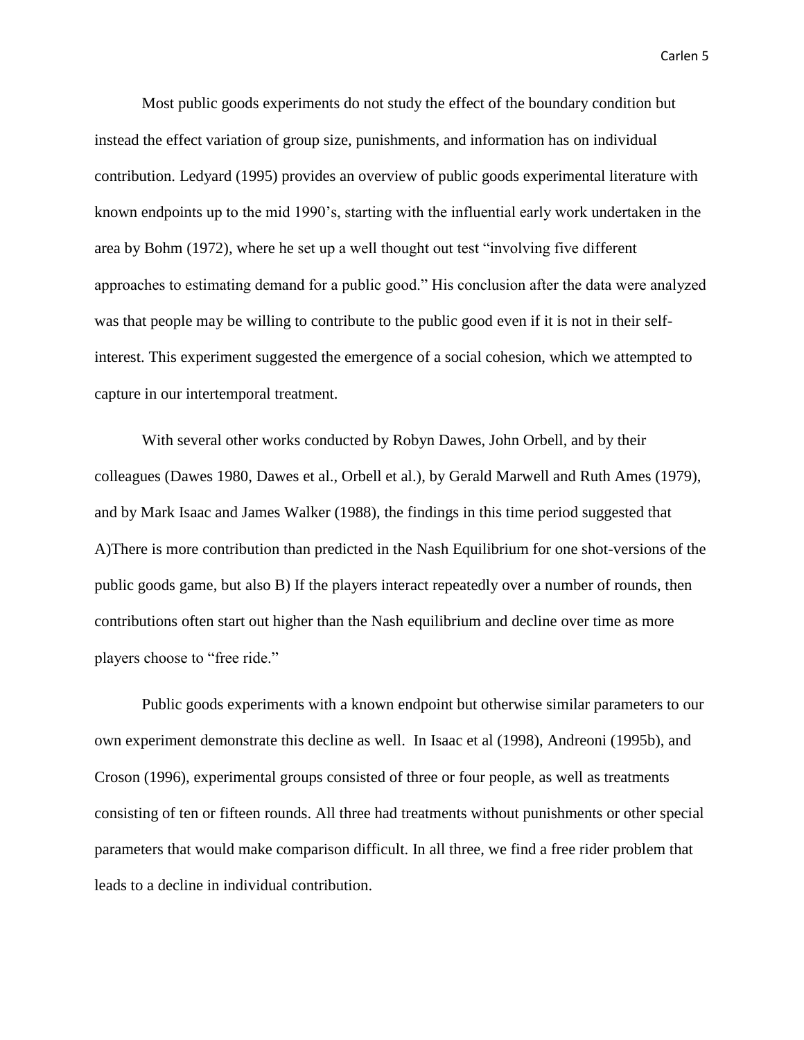Most public goods experiments do not study the effect of the boundary condition but instead the effect variation of group size, punishments, and information has on individual contribution. Ledyard (1995) provides an overview of public goods experimental literature with known endpoints up to the mid 1990's, starting with the influential early work undertaken in the area by Bohm (1972), where he set up a well thought out test "involving five different approaches to estimating demand for a public good." His conclusion after the data were analyzed was that people may be willing to contribute to the public good even if it is not in their selfinterest. This experiment suggested the emergence of a social cohesion, which we attempted to capture in our intertemporal treatment.

With several other works conducted by Robyn Dawes, John Orbell, and by their colleagues (Dawes 1980, Dawes et al., Orbell et al.), by Gerald Marwell and Ruth Ames (1979), and by Mark Isaac and James Walker (1988), the findings in this time period suggested that A)There is more contribution than predicted in the Nash Equilibrium for one shot-versions of the public goods game, but also B) If the players interact repeatedly over a number of rounds, then contributions often start out higher than the Nash equilibrium and decline over time as more players choose to "free ride."

Public goods experiments with a known endpoint but otherwise similar parameters to our own experiment demonstrate this decline as well. In Isaac et al (1998), Andreoni (1995b), and Croson (1996), experimental groups consisted of three or four people, as well as treatments consisting of ten or fifteen rounds. All three had treatments without punishments or other special parameters that would make comparison difficult. In all three, we find a free rider problem that leads to a decline in individual contribution.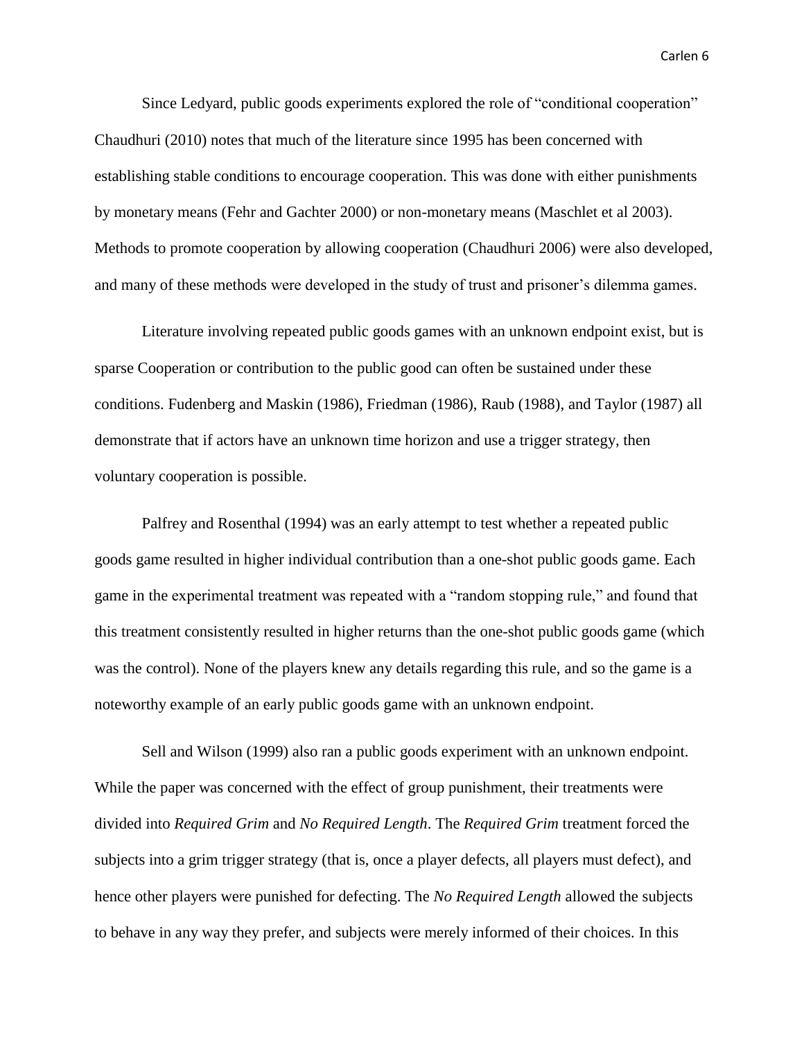Since Ledyard, public goods experiments explored the role of "conditional cooperation" Chaudhuri (2010) notes that much of the literature since 1995 has been concerned with establishing stable conditions to encourage cooperation. This was done with either punishments by monetary means (Fehr and Gachter 2000) or non-monetary means (Maschlet et al 2003). Methods to promote cooperation by allowing cooperation (Chaudhuri 2006) were also developed, and many of these methods were developed in the study of trust and prisoner's dilemma games.

Literature involving repeated public goods games with an unknown endpoint exist, but is sparse Cooperation or contribution to the public good can often be sustained under these conditions. Fudenberg and Maskin (1986), Friedman (1986), Raub (1988), and Taylor (1987) all demonstrate that if actors have an unknown time horizon and use a trigger strategy, then voluntary cooperation is possible.

Palfrey and Rosenthal (1994) was an early attempt to test whether a repeated public goods game resulted in higher individual contribution than a one-shot public goods game. Each game in the experimental treatment was repeated with a "random stopping rule," and found that this treatment consistently resulted in higher returns than the one-shot public goods game (which was the control). None of the players knew any details regarding this rule, and so the game is a noteworthy example of an early public goods game with an unknown endpoint.

Sell and Wilson (1999) also ran a public goods experiment with an unknown endpoint. While the paper was concerned with the effect of group punishment, their treatments were divided into *Required Grim* and *No Required Length*. The *Required Grim* treatment forced the subjects into a grim trigger strategy (that is, once a player defects, all players must defect), and hence other players were punished for defecting. The *No Required Length* allowed the subjects to behave in any way they prefer, and subjects were merely informed of their choices. In this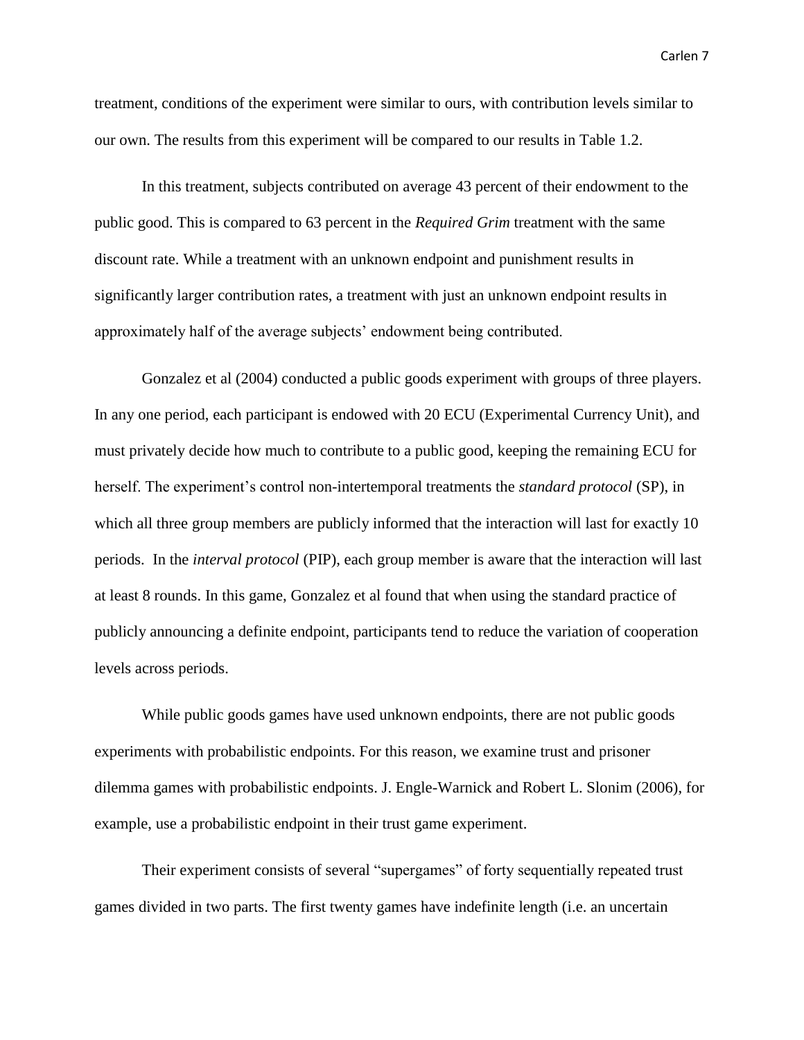treatment, conditions of the experiment were similar to ours, with contribution levels similar to our own. The results from this experiment will be compared to our results in Table 1.2.

In this treatment, subjects contributed on average 43 percent of their endowment to the public good. This is compared to 63 percent in the *Required Grim* treatment with the same discount rate. While a treatment with an unknown endpoint and punishment results in significantly larger contribution rates, a treatment with just an unknown endpoint results in approximately half of the average subjects' endowment being contributed.

Gonzalez et al (2004) conducted a public goods experiment with groups of three players. In any one period, each participant is endowed with 20 ECU (Experimental Currency Unit), and must privately decide how much to contribute to a public good, keeping the remaining ECU for herself. The experiment's control non-intertemporal treatments the *standard protocol* (SP), in which all three group members are publicly informed that the interaction will last for exactly 10 periods. In the *interval protocol* (PIP), each group member is aware that the interaction will last at least 8 rounds. In this game, Gonzalez et al found that when using the standard practice of publicly announcing a definite endpoint, participants tend to reduce the variation of cooperation levels across periods.

While public goods games have used unknown endpoints, there are not public goods experiments with probabilistic endpoints. For this reason, we examine trust and prisoner dilemma games with probabilistic endpoints. J. Engle-Warnick and Robert L. Slonim (2006), for example, use a probabilistic endpoint in their trust game experiment.

Their experiment consists of several "supergames" of forty sequentially repeated trust games divided in two parts. The first twenty games have indefinite length (i.e. an uncertain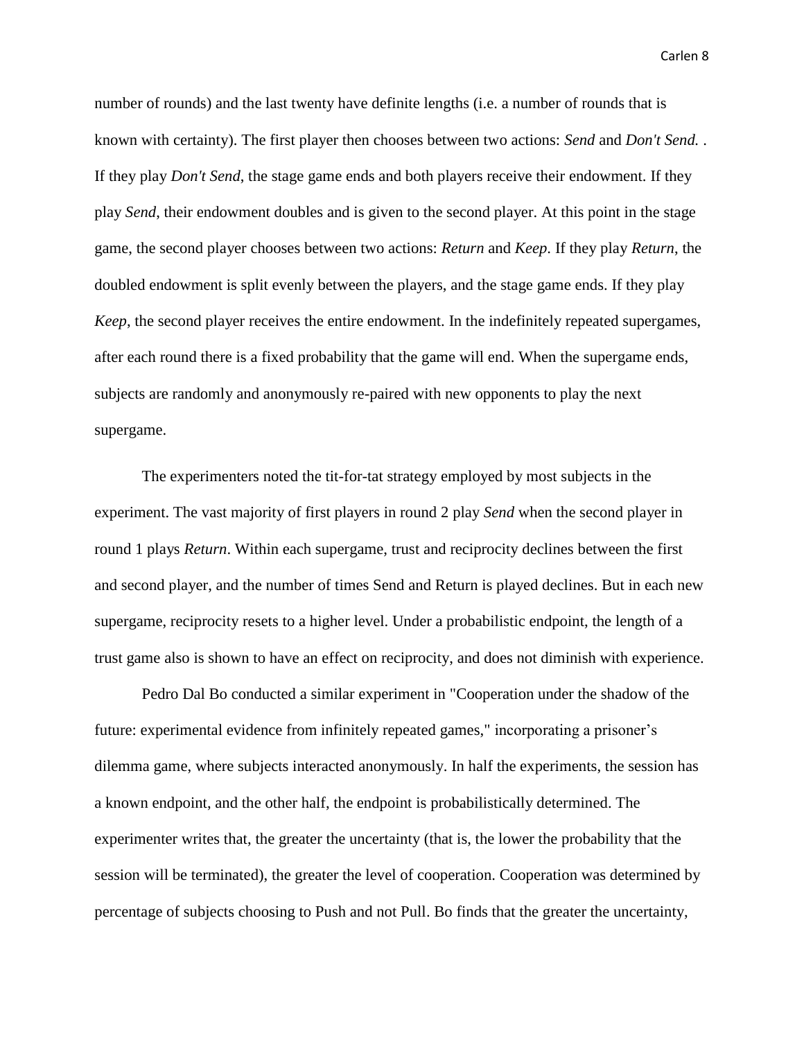number of rounds) and the last twenty have definite lengths (i.e. a number of rounds that is known with certainty). The first player then chooses between two actions: *Send* and *Don't Send.* . If they play *Don't Send*, the stage game ends and both players receive their endowment. If they play *Send*, their endowment doubles and is given to the second player. At this point in the stage game, the second player chooses between two actions: *Return* and *Keep*. If they play *Return*, the doubled endowment is split evenly between the players, and the stage game ends. If they play *Keep*, the second player receives the entire endowment. In the indefinitely repeated supergames, after each round there is a fixed probability that the game will end. When the supergame ends, subjects are randomly and anonymously re-paired with new opponents to play the next supergame.

The experimenters noted the tit-for-tat strategy employed by most subjects in the experiment. The vast majority of first players in round 2 play *Send* when the second player in round 1 plays *Return*. Within each supergame, trust and reciprocity declines between the first and second player, and the number of times Send and Return is played declines. But in each new supergame, reciprocity resets to a higher level. Under a probabilistic endpoint, the length of a trust game also is shown to have an effect on reciprocity, and does not diminish with experience.

Pedro Dal Bo conducted a similar experiment in "Cooperation under the shadow of the future: experimental evidence from infinitely repeated games," incorporating a prisoner's dilemma game, where subjects interacted anonymously. In half the experiments, the session has a known endpoint, and the other half, the endpoint is probabilistically determined. The experimenter writes that, the greater the uncertainty (that is, the lower the probability that the session will be terminated), the greater the level of cooperation. Cooperation was determined by percentage of subjects choosing to Push and not Pull. Bo finds that the greater the uncertainty,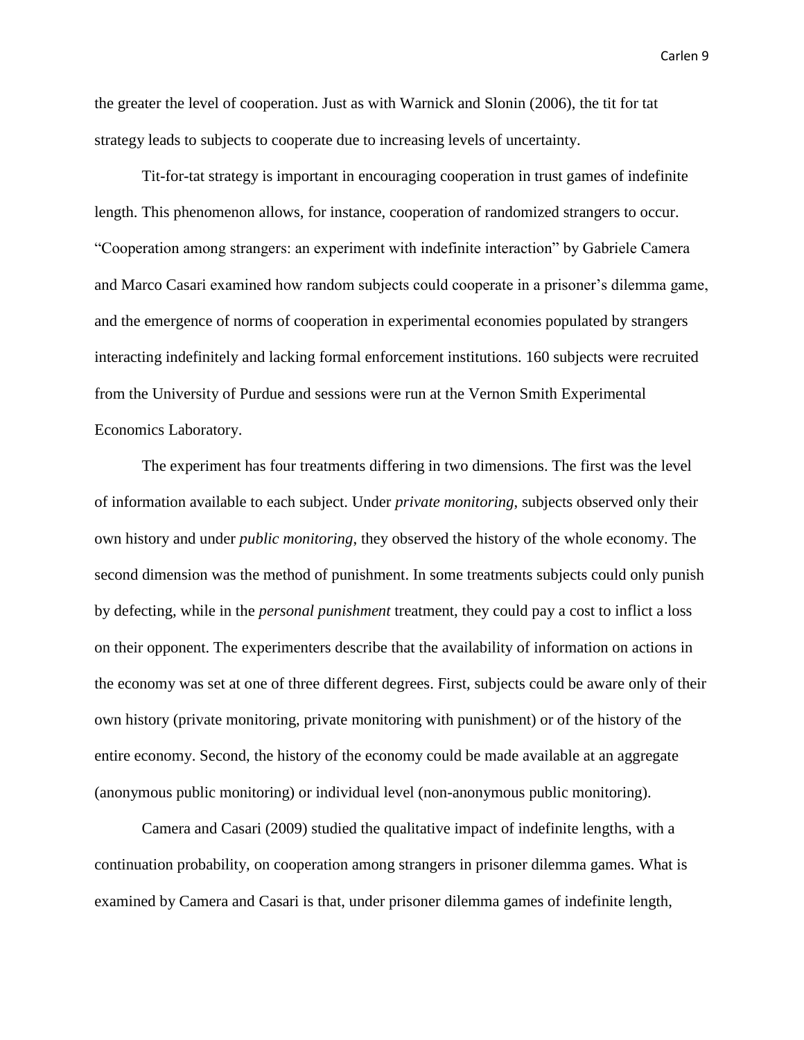the greater the level of cooperation. Just as with Warnick and Slonin (2006), the tit for tat strategy leads to subjects to cooperate due to increasing levels of uncertainty.

Tit-for-tat strategy is important in encouraging cooperation in trust games of indefinite length. This phenomenon allows, for instance, cooperation of randomized strangers to occur. "Cooperation among strangers: an experiment with indefinite interaction" by Gabriele Camera and Marco Casari examined how random subjects could cooperate in a prisoner's dilemma game, and the emergence of norms of cooperation in experimental economies populated by strangers interacting indefinitely and lacking formal enforcement institutions. 160 subjects were recruited from the University of Purdue and sessions were run at the Vernon Smith Experimental Economics Laboratory.

The experiment has four treatments differing in two dimensions. The first was the level of information available to each subject. Under *private monitoring*, subjects observed only their own history and under *public monitoring*, they observed the history of the whole economy. The second dimension was the method of punishment. In some treatments subjects could only punish by defecting, while in the *personal punishment* treatment, they could pay a cost to inflict a loss on their opponent. The experimenters describe that the availability of information on actions in the economy was set at one of three different degrees. First, subjects could be aware only of their own history (private monitoring, private monitoring with punishment) or of the history of the entire economy. Second, the history of the economy could be made available at an aggregate (anonymous public monitoring) or individual level (non-anonymous public monitoring).

Camera and Casari (2009) studied the qualitative impact of indefinite lengths, with a continuation probability, on cooperation among strangers in prisoner dilemma games. What is examined by Camera and Casari is that, under prisoner dilemma games of indefinite length,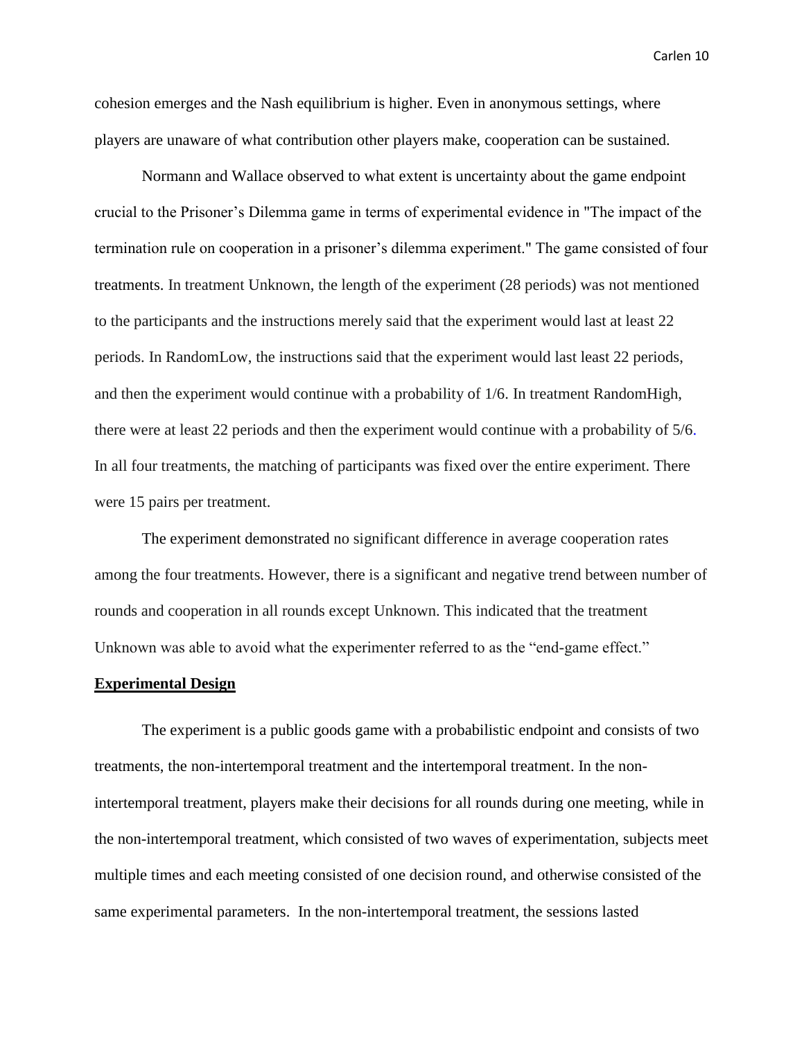cohesion emerges and the Nash equilibrium is higher. Even in anonymous settings, where players are unaware of what contribution other players make, cooperation can be sustained.

Normann and Wallace observed to what extent is uncertainty about the game endpoint crucial to the Prisoner's Dilemma game in terms of experimental evidence in "The impact of the termination rule on cooperation in a prisoner's dilemma experiment." The game consisted of four treatments. In treatment Unknown, the length of the experiment (28 periods) was not mentioned to the participants and the instructions merely said that the experiment would last at least 22 periods. In RandomLow, the instructions said that the experiment would last least 22 periods, and then the experiment would continue with a probability of 1/6. In treatment RandomHigh, there were at least 22 periods and then the experiment would continue with a probability of 5/6. In all four treatments, the matching of participants was fixed over the entire experiment. There were 15 pairs per treatment.

The experiment demonstrated no significant difference in average cooperation rates among the four treatments. However, there is a significant and negative trend between number of rounds and cooperation in all rounds except Unknown. This indicated that the treatment Unknown was able to avoid what the experimenter referred to as the "end-game effect."

### **Experimental Design**

The experiment is a public goods game with a probabilistic endpoint and consists of two treatments, the non-intertemporal treatment and the intertemporal treatment. In the nonintertemporal treatment, players make their decisions for all rounds during one meeting, while in the non-intertemporal treatment, which consisted of two waves of experimentation, subjects meet multiple times and each meeting consisted of one decision round, and otherwise consisted of the same experimental parameters. In the non-intertemporal treatment, the sessions lasted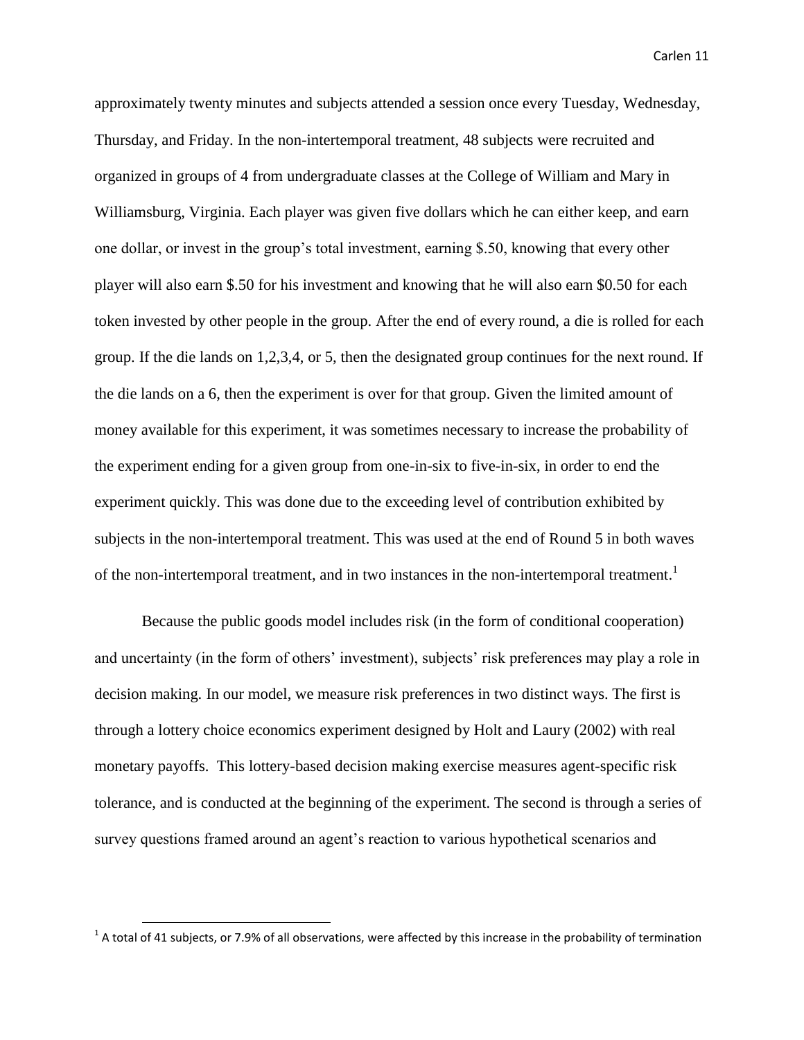approximately twenty minutes and subjects attended a session once every Tuesday, Wednesday, Thursday, and Friday. In the non-intertemporal treatment, 48 subjects were recruited and organized in groups of 4 from undergraduate classes at the College of William and Mary in Williamsburg, Virginia. Each player was given five dollars which he can either keep, and earn one dollar, or invest in the group's total investment, earning \$.50, knowing that every other player will also earn \$.50 for his investment and knowing that he will also earn \$0.50 for each token invested by other people in the group. After the end of every round, a die is rolled for each group. If the die lands on 1,2,3,4, or 5, then the designated group continues for the next round. If the die lands on a 6, then the experiment is over for that group. Given the limited amount of money available for this experiment, it was sometimes necessary to increase the probability of the experiment ending for a given group from one-in-six to five-in-six, in order to end the experiment quickly. This was done due to the exceeding level of contribution exhibited by subjects in the non-intertemporal treatment. This was used at the end of Round 5 in both waves of the non-intertemporal treatment, and in two instances in the non-intertemporal treatment.<sup>1</sup>

Because the public goods model includes risk (in the form of conditional cooperation) and uncertainty (in the form of others' investment), subjects' risk preferences may play a role in decision making. In our model, we measure risk preferences in two distinct ways. The first is through a lottery choice economics experiment designed by Holt and Laury (2002) with real monetary payoffs. This lottery-based decision making exercise measures agent-specific risk tolerance, and is conducted at the beginning of the experiment. The second is through a series of survey questions framed around an agent's reaction to various hypothetical scenarios and

 $\overline{\phantom{a}}$ 

 $^1$  A total of 41 subjects, or 7.9% of all observations, were affected by this increase in the probability of termination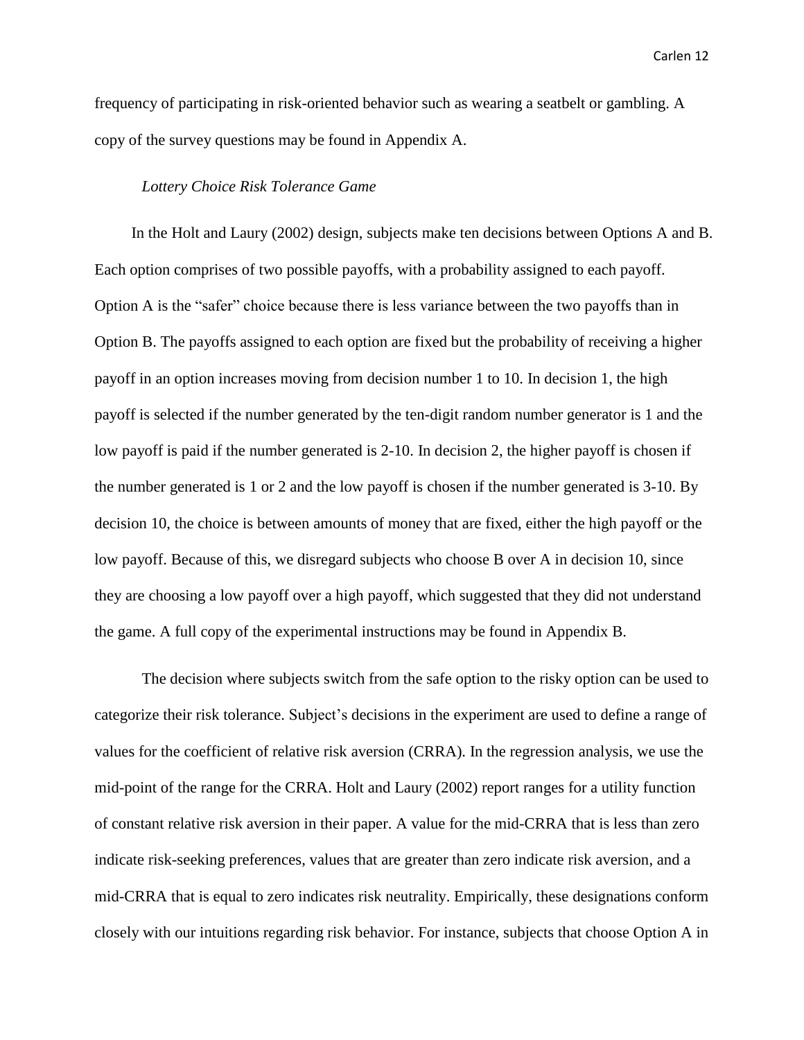frequency of participating in risk-oriented behavior such as wearing a seatbelt or gambling. A copy of the survey questions may be found in Appendix A.

### *Lottery Choice Risk Tolerance Game*

 In the Holt and Laury (2002) design, subjects make ten decisions between Options A and B. Each option comprises of two possible payoffs, with a probability assigned to each payoff. Option A is the "safer" choice because there is less variance between the two payoffs than in Option B. The payoffs assigned to each option are fixed but the probability of receiving a higher payoff in an option increases moving from decision number 1 to 10. In decision 1, the high payoff is selected if the number generated by the ten-digit random number generator is 1 and the low payoff is paid if the number generated is 2-10. In decision 2, the higher payoff is chosen if the number generated is 1 or 2 and the low payoff is chosen if the number generated is 3-10. By decision 10, the choice is between amounts of money that are fixed, either the high payoff or the low payoff. Because of this, we disregard subjects who choose B over A in decision 10, since they are choosing a low payoff over a high payoff, which suggested that they did not understand the game. A full copy of the experimental instructions may be found in Appendix B.

The decision where subjects switch from the safe option to the risky option can be used to categorize their risk tolerance. Subject's decisions in the experiment are used to define a range of values for the coefficient of relative risk aversion (CRRA). In the regression analysis, we use the mid-point of the range for the CRRA. Holt and Laury (2002) report ranges for a utility function of constant relative risk aversion in their paper. A value for the mid-CRRA that is less than zero indicate risk-seeking preferences, values that are greater than zero indicate risk aversion, and a mid-CRRA that is equal to zero indicates risk neutrality. Empirically, these designations conform closely with our intuitions regarding risk behavior. For instance, subjects that choose Option A in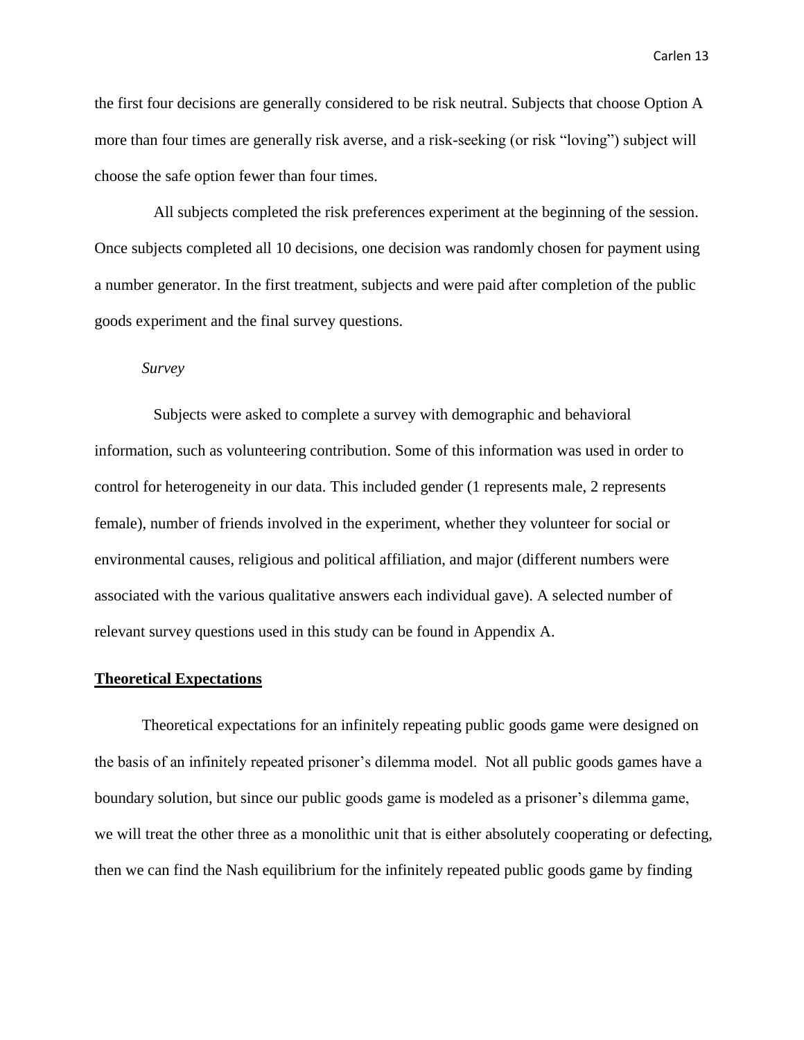the first four decisions are generally considered to be risk neutral. Subjects that choose Option A more than four times are generally risk averse, and a risk-seeking (or risk "loving") subject will choose the safe option fewer than four times.

 All subjects completed the risk preferences experiment at the beginning of the session. Once subjects completed all 10 decisions, one decision was randomly chosen for payment using a number generator. In the first treatment, subjects and were paid after completion of the public goods experiment and the final survey questions.

### *Survey*

 Subjects were asked to complete a survey with demographic and behavioral information, such as volunteering contribution. Some of this information was used in order to control for heterogeneity in our data. This included gender (1 represents male, 2 represents female), number of friends involved in the experiment, whether they volunteer for social or environmental causes, religious and political affiliation, and major (different numbers were associated with the various qualitative answers each individual gave). A selected number of relevant survey questions used in this study can be found in Appendix A.

### **Theoretical Expectations**

Theoretical expectations for an infinitely repeating public goods game were designed on the basis of an infinitely repeated prisoner's dilemma model. Not all public goods games have a boundary solution, but since our public goods game is modeled as a prisoner's dilemma game, we will treat the other three as a monolithic unit that is either absolutely cooperating or defecting, then we can find the Nash equilibrium for the infinitely repeated public goods game by finding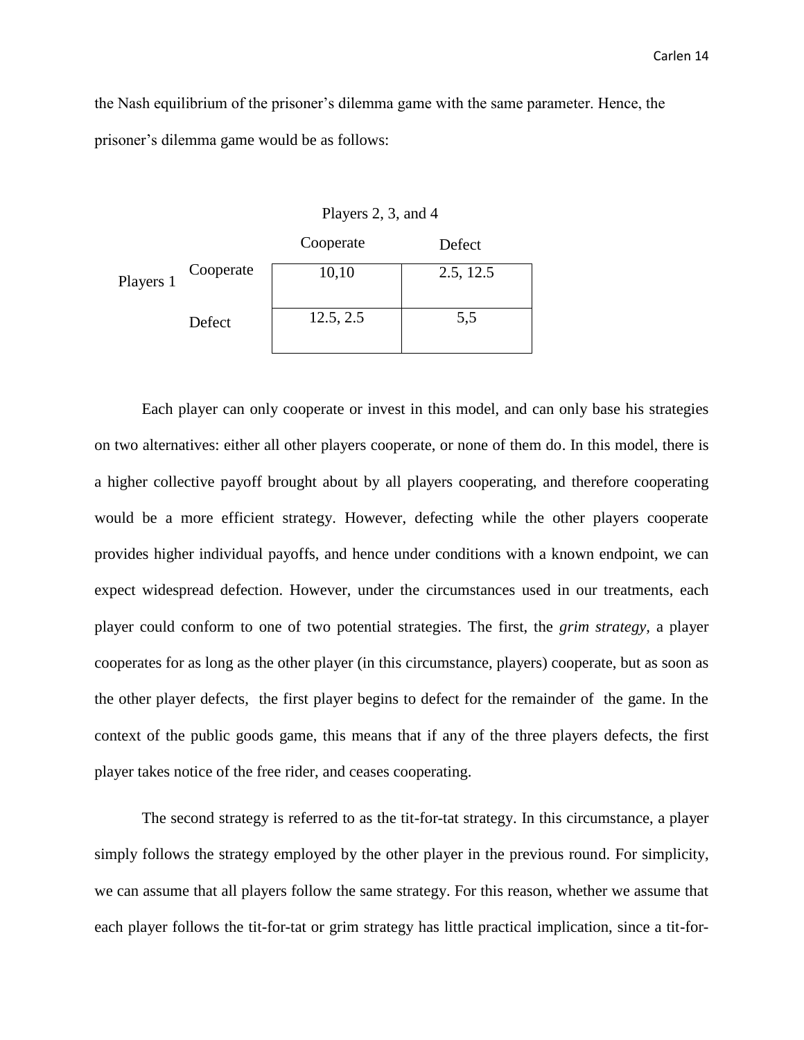the Nash equilibrium of the prisoner's dilemma game with the same parameter. Hence, the prisoner's dilemma game would be as follows:

|           |           | Cooperate | Defect    |
|-----------|-----------|-----------|-----------|
| Players 1 | Cooperate | 10,10     | 2.5, 12.5 |
|           | Defect    | 12.5, 2.5 | 5,5       |

Each player can only cooperate or invest in this model, and can only base his strategies on two alternatives: either all other players cooperate, or none of them do. In this model, there is a higher collective payoff brought about by all players cooperating, and therefore cooperating would be a more efficient strategy. However, defecting while the other players cooperate provides higher individual payoffs, and hence under conditions with a known endpoint, we can expect widespread defection. However, under the circumstances used in our treatments, each player could conform to one of two potential strategies. The first, the *grim strategy,* a player cooperates for as long as the other player (in this circumstance, players) cooperate, but as soon as the other player defects, the first player begins to defect for the remainder of the game. In the context of the public goods game, this means that if any of the three players defects, the first player takes notice of the free rider, and ceases cooperating.

The second strategy is referred to as the tit-for-tat strategy. In this circumstance, a player simply follows the strategy employed by the other player in the previous round. For simplicity, we can assume that all players follow the same strategy. For this reason, whether we assume that each player follows the tit-for-tat or grim strategy has little practical implication, since a tit-for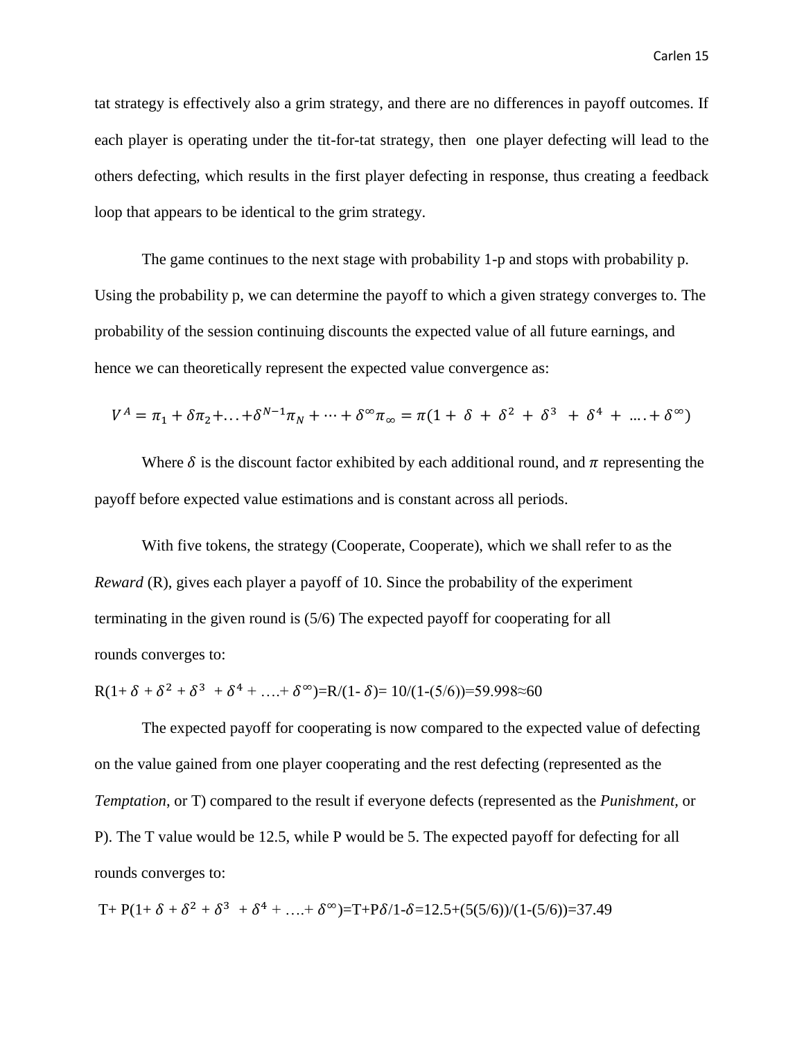tat strategy is effectively also a grim strategy, and there are no differences in payoff outcomes. If each player is operating under the tit-for-tat strategy, then one player defecting will lead to the others defecting, which results in the first player defecting in response, thus creating a feedback loop that appears to be identical to the grim strategy.

The game continues to the next stage with probability 1-p and stops with probability p. Using the probability p, we can determine the payoff to which a given strategy converges to. The probability of the session continuing discounts the expected value of all future earnings, and hence we can theoretically represent the expected value convergence as:

$$
V^{A} = \pi_{1} + \delta \pi_{2} + ... + \delta^{N-1} \pi_{N} + ... + \delta^{\infty} \pi_{\infty} = \pi (1 + \delta + \delta^{2} + \delta^{3} + \delta^{4} + ... + \delta^{\infty})
$$

Where  $\delta$  is the discount factor exhibited by each additional round, and  $\pi$  representing the payoff before expected value estimations and is constant across all periods.

With five tokens, the strategy (Cooperate, Cooperate), which we shall refer to as the *Reward* (R), gives each player a payoff of 10. Since the probability of the experiment terminating in the given round is (5/6) The expected payoff for cooperating for all rounds converges to:

$$
R(1+\delta+\delta^2+\delta^3+\delta^4+\ldots+\delta^\infty)=R/(1-\delta)=10/(1-(5/6))=59.998\approx 60
$$

The expected payoff for cooperating is now compared to the expected value of defecting on the value gained from one player cooperating and the rest defecting (represented as the *Temptation*, or T) compared to the result if everyone defects (represented as the *Punishment,* or P). The T value would be 12.5, while P would be 5. The expected payoff for defecting for all rounds converges to:

$$
T + P(1 + \delta + \delta^2 + \delta^3 + \delta^4 + \ldots + \delta^\infty) = T + P\delta/1 - \delta = 12.5 + (5(5/6))/(1-(5/6)) = 37.49
$$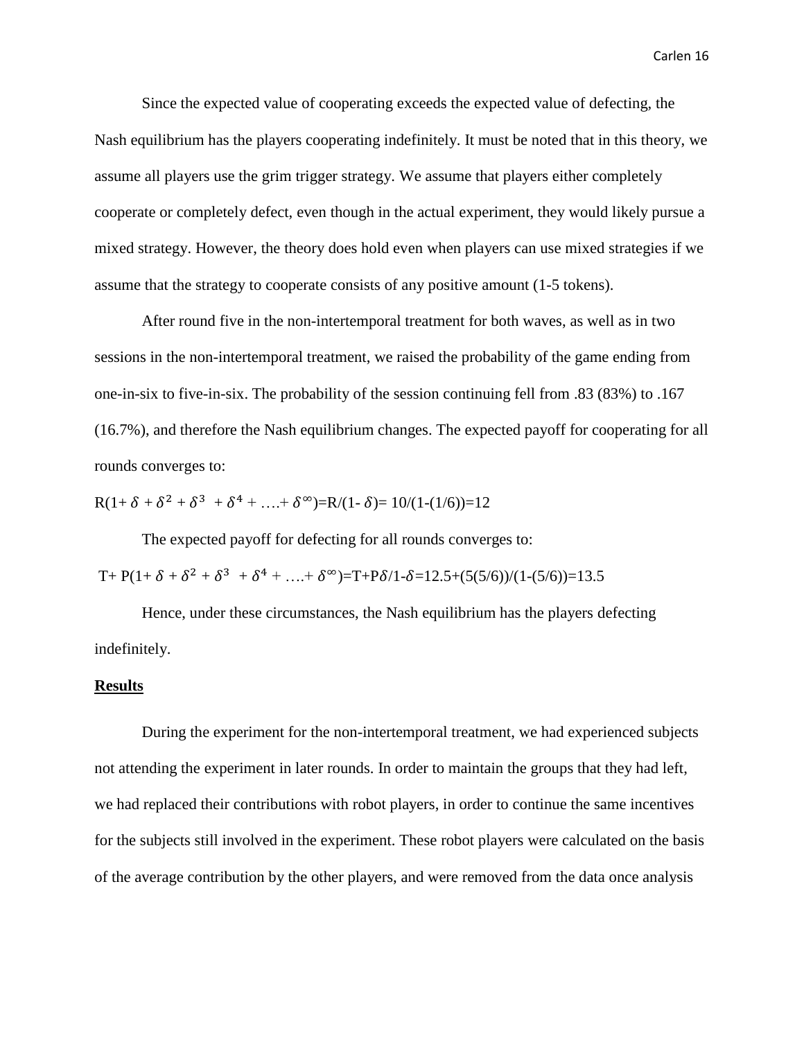Since the expected value of cooperating exceeds the expected value of defecting, the Nash equilibrium has the players cooperating indefinitely. It must be noted that in this theory, we assume all players use the grim trigger strategy. We assume that players either completely cooperate or completely defect, even though in the actual experiment, they would likely pursue a mixed strategy. However, the theory does hold even when players can use mixed strategies if we assume that the strategy to cooperate consists of any positive amount (1-5 tokens).

After round five in the non-intertemporal treatment for both waves, as well as in two sessions in the non-intertemporal treatment, we raised the probability of the game ending from one-in-six to five-in-six. The probability of the session continuing fell from .83 (83%) to .167 (16.7%), and therefore the Nash equilibrium changes. The expected payoff for cooperating for all rounds converges to:

$$
R(1+\delta+\delta^2+\delta^3+\delta^4+....+\delta^\infty)=R/(1-\delta)=10/(1-(1/\delta))=12
$$

The expected payoff for defecting for all rounds converges to:

T+ P(1+  $\delta$  +  $\delta$ <sup>2</sup> +  $\delta$ <sup>3</sup> +  $\delta$ <sup>4</sup> + ....+  $\delta$ <sup>∞</sup>)=T+P $\delta$ /1- $\delta$ =12.5+(5(5/6))/(1-(5/6))=13.5

Hence, under these circumstances, the Nash equilibrium has the players defecting indefinitely.

### **Results**

During the experiment for the non-intertemporal treatment, we had experienced subjects not attending the experiment in later rounds. In order to maintain the groups that they had left, we had replaced their contributions with robot players, in order to continue the same incentives for the subjects still involved in the experiment. These robot players were calculated on the basis of the average contribution by the other players, and were removed from the data once analysis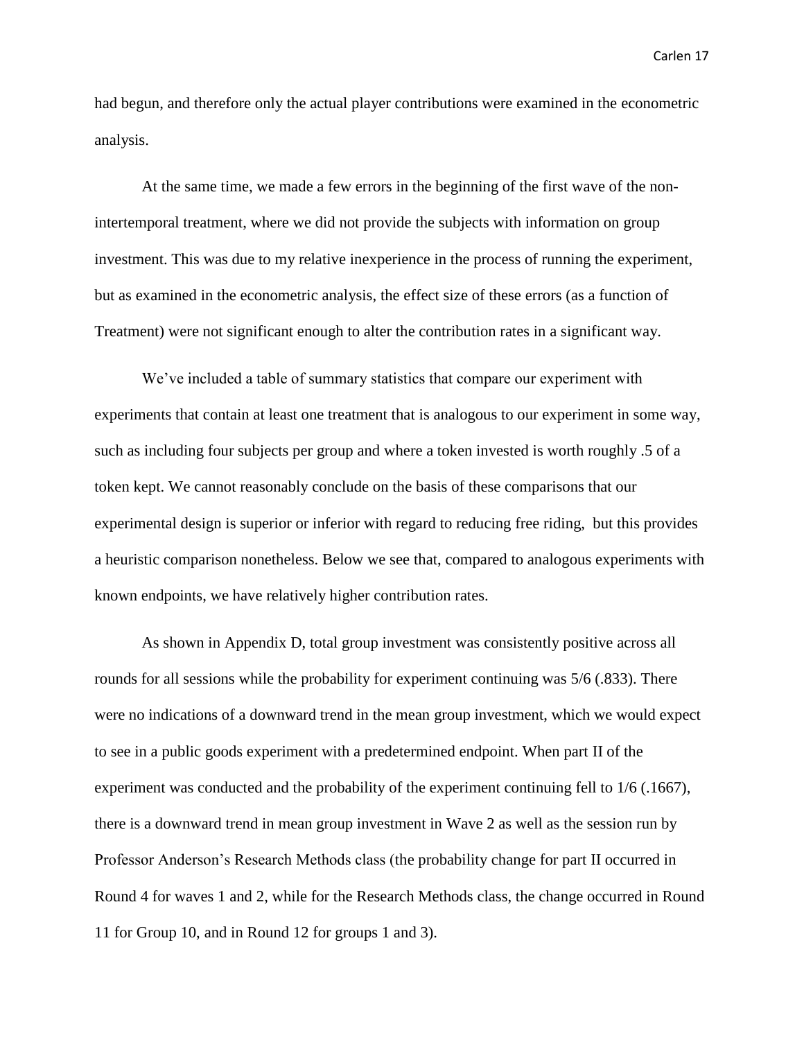had begun, and therefore only the actual player contributions were examined in the econometric analysis.

At the same time, we made a few errors in the beginning of the first wave of the nonintertemporal treatment, where we did not provide the subjects with information on group investment. This was due to my relative inexperience in the process of running the experiment, but as examined in the econometric analysis, the effect size of these errors (as a function of Treatment) were not significant enough to alter the contribution rates in a significant way.

We've included a table of summary statistics that compare our experiment with experiments that contain at least one treatment that is analogous to our experiment in some way, such as including four subjects per group and where a token invested is worth roughly .5 of a token kept. We cannot reasonably conclude on the basis of these comparisons that our experimental design is superior or inferior with regard to reducing free riding, but this provides a heuristic comparison nonetheless. Below we see that, compared to analogous experiments with known endpoints, we have relatively higher contribution rates.

As shown in Appendix D, total group investment was consistently positive across all rounds for all sessions while the probability for experiment continuing was 5/6 (.833). There were no indications of a downward trend in the mean group investment, which we would expect to see in a public goods experiment with a predetermined endpoint. When part II of the experiment was conducted and the probability of the experiment continuing fell to 1/6 (.1667), there is a downward trend in mean group investment in Wave 2 as well as the session run by Professor Anderson's Research Methods class (the probability change for part II occurred in Round 4 for waves 1 and 2, while for the Research Methods class, the change occurred in Round 11 for Group 10, and in Round 12 for groups 1 and 3).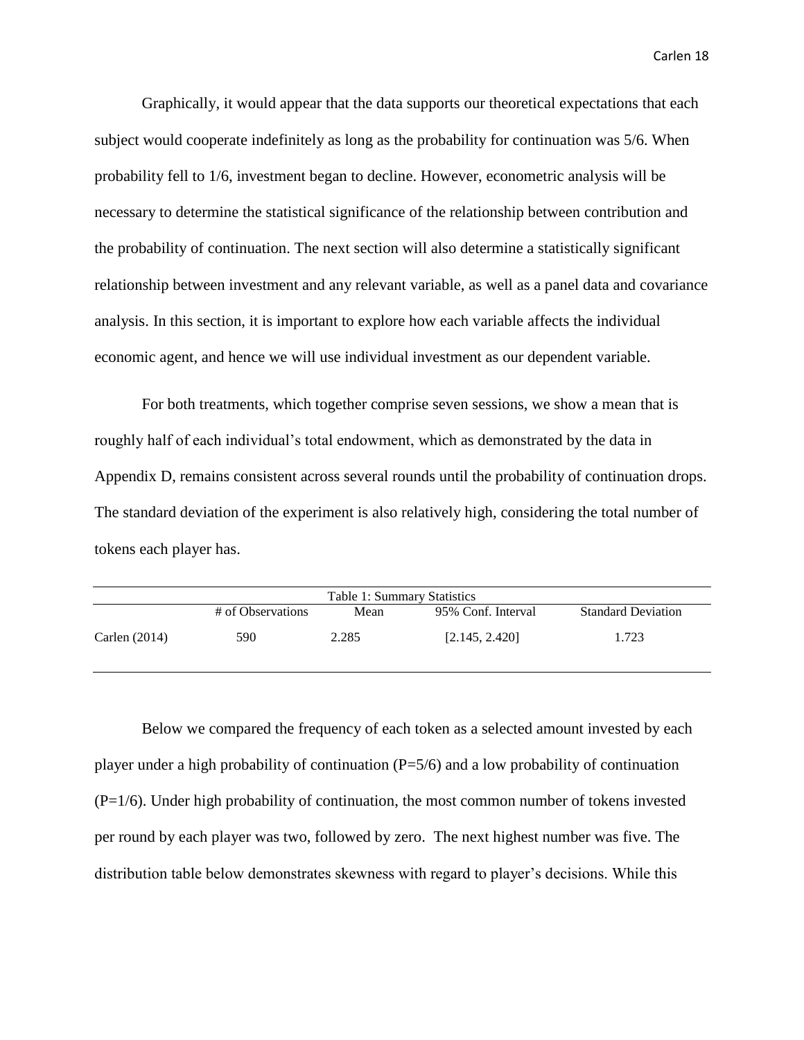Graphically, it would appear that the data supports our theoretical expectations that each subject would cooperate indefinitely as long as the probability for continuation was 5/6. When probability fell to 1/6, investment began to decline. However, econometric analysis will be necessary to determine the statistical significance of the relationship between contribution and the probability of continuation. The next section will also determine a statistically significant relationship between investment and any relevant variable, as well as a panel data and covariance analysis. In this section, it is important to explore how each variable affects the individual economic agent, and hence we will use individual investment as our dependent variable.

For both treatments, which together comprise seven sessions, we show a mean that is roughly half of each individual's total endowment, which as demonstrated by the data in Appendix D, remains consistent across several rounds until the probability of continuation drops. The standard deviation of the experiment is also relatively high, considering the total number of tokens each player has.

| Table 1: Summary Statistics |                   |       |                    |                           |
|-----------------------------|-------------------|-------|--------------------|---------------------------|
|                             | # of Observations | Mean  | 95% Conf. Interval | <b>Standard Deviation</b> |
| Carlen $(2014)$             | 590               | 2.285 | [2.145, 2.420]     | 1.723                     |

Below we compared the frequency of each token as a selected amount invested by each player under a high probability of continuation  $(P=5/6)$  and a low probability of continuation  $(P=1/6)$ . Under high probability of continuation, the most common number of tokens invested per round by each player was two, followed by zero. The next highest number was five. The distribution table below demonstrates skewness with regard to player's decisions. While this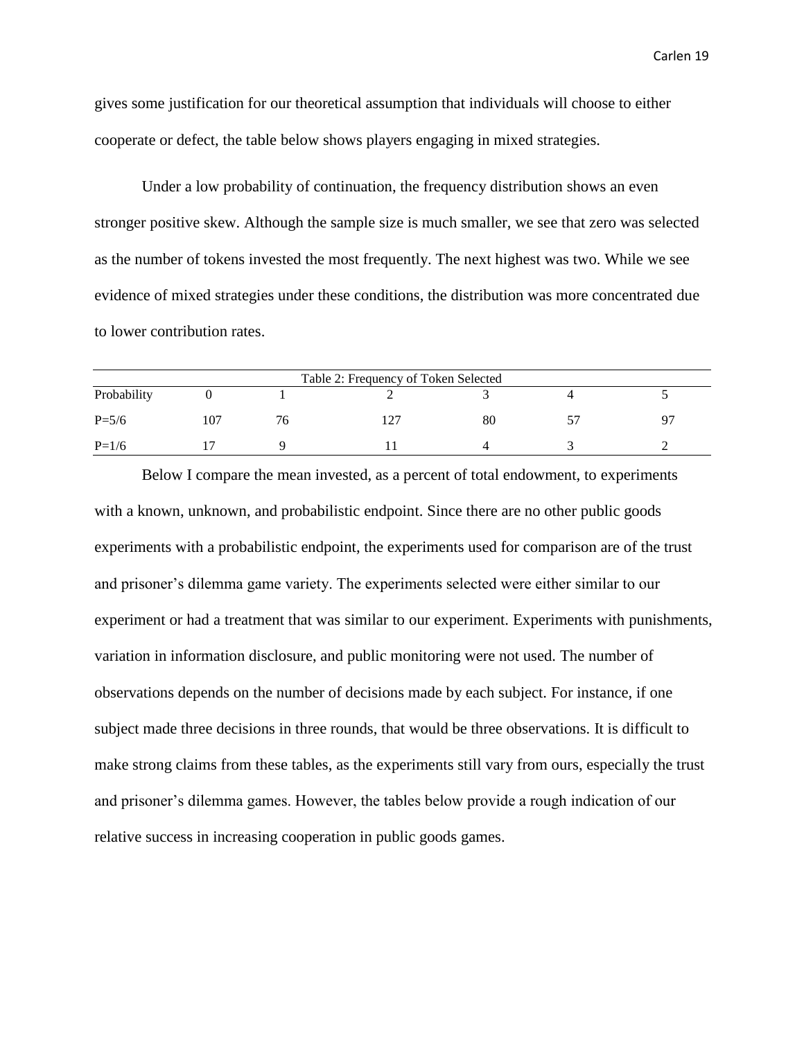gives some justification for our theoretical assumption that individuals will choose to either cooperate or defect, the table below shows players engaging in mixed strategies.

Under a low probability of continuation, the frequency distribution shows an even stronger positive skew. Although the sample size is much smaller, we see that zero was selected as the number of tokens invested the most frequently. The next highest was two. While we see evidence of mixed strategies under these conditions, the distribution was more concentrated due to lower contribution rates.

| Table 2: Frequency of Token Selected |  |    |  |    |  |           |
|--------------------------------------|--|----|--|----|--|-----------|
| Probability                          |  |    |  |    |  |           |
| $P = 5/6$                            |  | 'n |  | 80 |  | $Q^{\pi}$ |
| $P=1/6$                              |  |    |  |    |  |           |

Below I compare the mean invested, as a percent of total endowment, to experiments with a known, unknown, and probabilistic endpoint. Since there are no other public goods experiments with a probabilistic endpoint, the experiments used for comparison are of the trust and prisoner's dilemma game variety. The experiments selected were either similar to our experiment or had a treatment that was similar to our experiment. Experiments with punishments, variation in information disclosure, and public monitoring were not used. The number of observations depends on the number of decisions made by each subject. For instance, if one subject made three decisions in three rounds, that would be three observations. It is difficult to make strong claims from these tables, as the experiments still vary from ours, especially the trust and prisoner's dilemma games. However, the tables below provide a rough indication of our relative success in increasing cooperation in public goods games.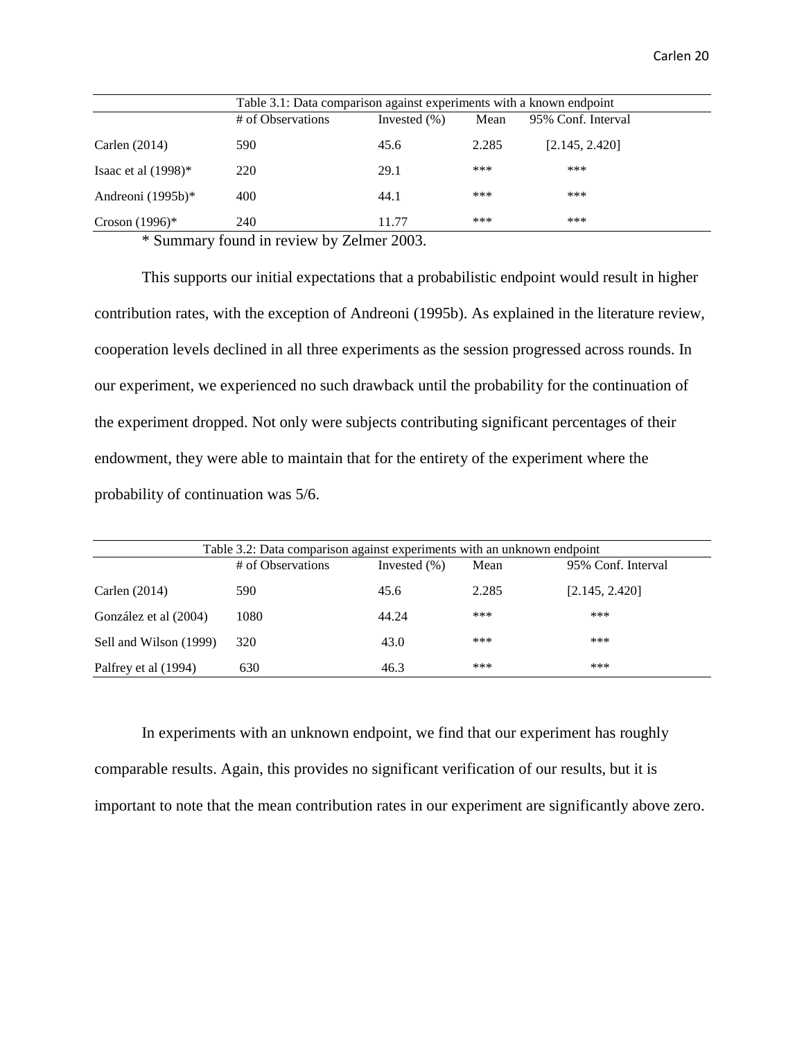|                        | Table 3.1: Data comparison against experiments with a known endpoint |                  |       |                    |  |
|------------------------|----------------------------------------------------------------------|------------------|-------|--------------------|--|
|                        | # of Observations                                                    | Invested $(\% )$ | Mean  | 95% Conf. Interval |  |
| Carlen $(2014)$        | 590                                                                  | 45.6             | 2.285 | [2.145, 2.420]     |  |
| Isaac et al $(1998)^*$ | 220                                                                  | 29.1             | ***   | ***                |  |
| Andreoni $(1995b)*$    | 400                                                                  | 44.1             | ***   | ***                |  |
| Croson $(1996)^*$      | 240                                                                  | 11.77            | ***   | ***                |  |

\* Summary found in review by Zelmer 2003.

This supports our initial expectations that a probabilistic endpoint would result in higher contribution rates, with the exception of Andreoni (1995b). As explained in the literature review, cooperation levels declined in all three experiments as the session progressed across rounds. In our experiment, we experienced no such drawback until the probability for the continuation of the experiment dropped. Not only were subjects contributing significant percentages of their endowment, they were able to maintain that for the entirety of the experiment where the probability of continuation was 5/6.

| Table 3.2: Data comparison against experiments with an unknown endpoint |                   |                  |       |                    |  |
|-------------------------------------------------------------------------|-------------------|------------------|-------|--------------------|--|
|                                                                         | # of Observations | Invested $(\% )$ | Mean  | 95% Conf. Interval |  |
| Carlen $(2014)$                                                         | 590               | 45.6             | 2.285 | [2.145, 2.420]     |  |
| González et al (2004)                                                   | 1080              | 44.24            | ***   | ***                |  |
| Sell and Wilson (1999)                                                  | 320               | 43.0             | ***   | ***                |  |
| Palfrey et al (1994)                                                    | 630               | 46.3             | ***   | ***                |  |

In experiments with an unknown endpoint, we find that our experiment has roughly comparable results. Again, this provides no significant verification of our results, but it is important to note that the mean contribution rates in our experiment are significantly above zero.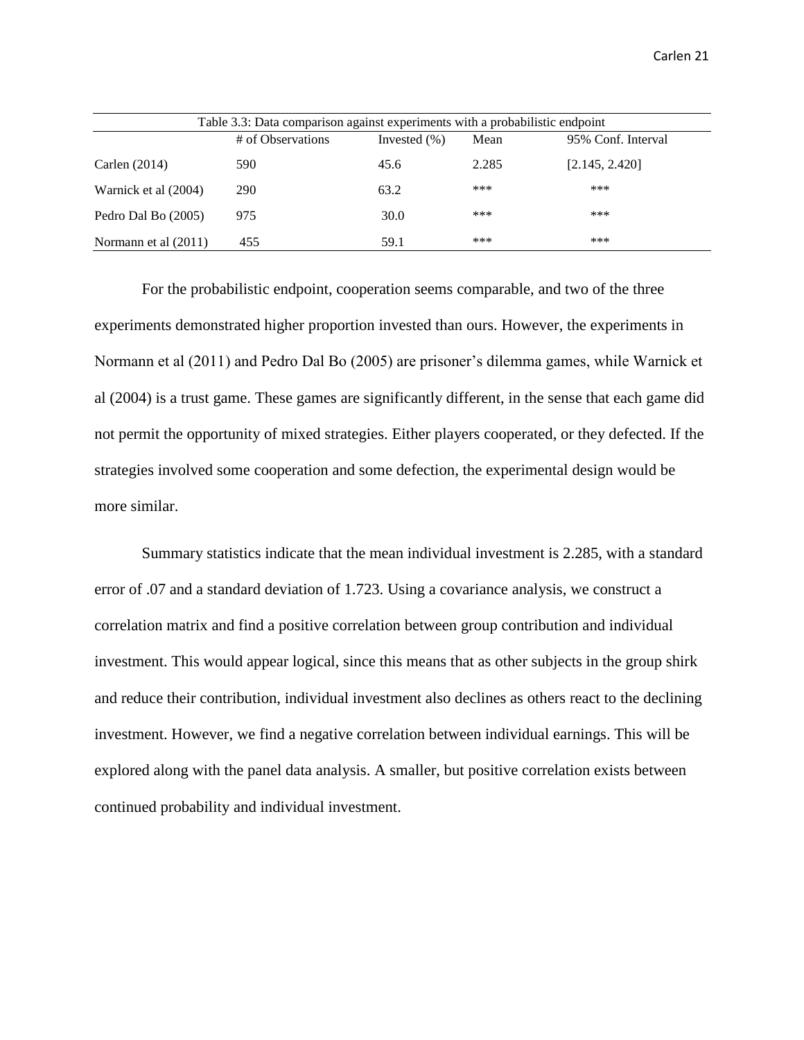| Table 3.3: Data comparison against experiments with a probabilistic endpoint |                   |                  |       |                    |  |
|------------------------------------------------------------------------------|-------------------|------------------|-------|--------------------|--|
|                                                                              | # of Observations | Invested $(\% )$ | Mean  | 95% Conf. Interval |  |
| Carlen $(2014)$                                                              | 590               | 45.6             | 2.285 | [2.145, 2.420]     |  |
| Warnick et al (2004)                                                         | 290               | 63.2             | ***   | ***                |  |
| Pedro Dal Bo (2005)                                                          | 975               | 30.0             | ***   | ***                |  |
| Normann et al (2011)                                                         | 455               | 59.1             | ***   | ***                |  |

For the probabilistic endpoint, cooperation seems comparable, and two of the three experiments demonstrated higher proportion invested than ours. However, the experiments in Normann et al (2011) and Pedro Dal Bo (2005) are prisoner's dilemma games, while Warnick et al (2004) is a trust game. These games are significantly different, in the sense that each game did not permit the opportunity of mixed strategies. Either players cooperated, or they defected. If the strategies involved some cooperation and some defection, the experimental design would be more similar.

Summary statistics indicate that the mean individual investment is 2.285, with a standard error of .07 and a standard deviation of 1.723. Using a covariance analysis, we construct a correlation matrix and find a positive correlation between group contribution and individual investment. This would appear logical, since this means that as other subjects in the group shirk and reduce their contribution, individual investment also declines as others react to the declining investment. However, we find a negative correlation between individual earnings. This will be explored along with the panel data analysis. A smaller, but positive correlation exists between continued probability and individual investment.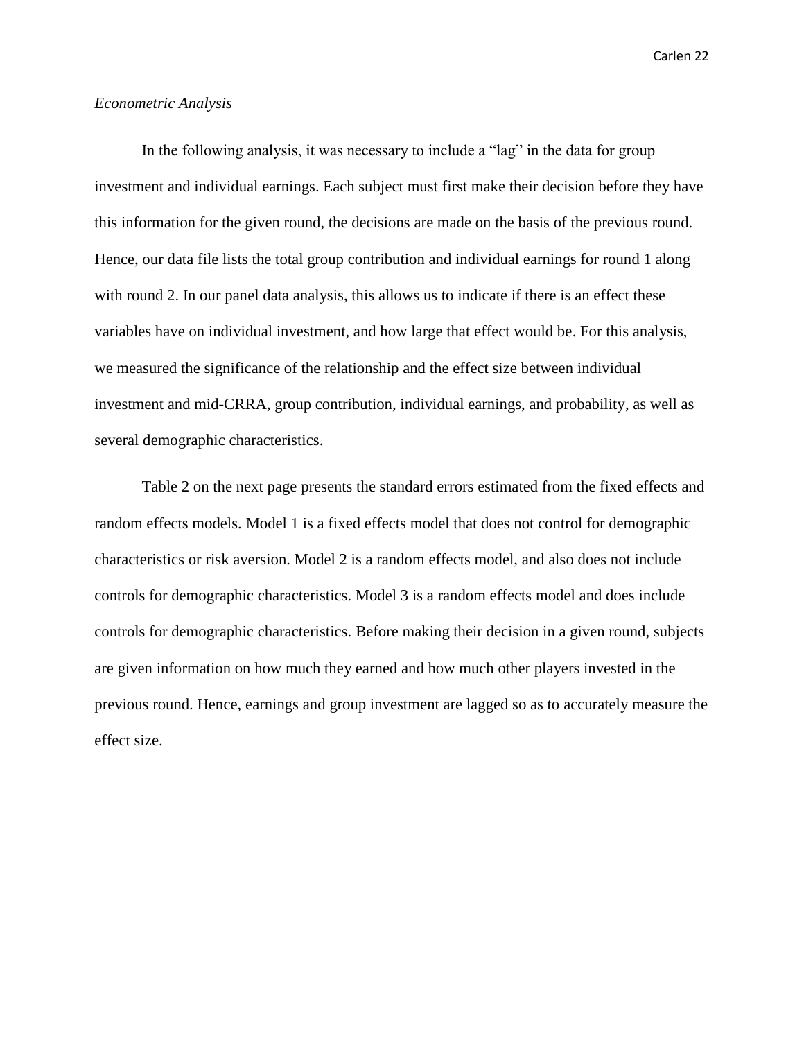#### *Econometric Analysis*

In the following analysis, it was necessary to include a "lag" in the data for group investment and individual earnings. Each subject must first make their decision before they have this information for the given round, the decisions are made on the basis of the previous round. Hence, our data file lists the total group contribution and individual earnings for round 1 along with round 2. In our panel data analysis, this allows us to indicate if there is an effect these variables have on individual investment, and how large that effect would be. For this analysis, we measured the significance of the relationship and the effect size between individual investment and mid-CRRA, group contribution, individual earnings, and probability, as well as several demographic characteristics.

Table 2 on the next page presents the standard errors estimated from the fixed effects and random effects models. Model 1 is a fixed effects model that does not control for demographic characteristics or risk aversion. Model 2 is a random effects model, and also does not include controls for demographic characteristics. Model 3 is a random effects model and does include controls for demographic characteristics. Before making their decision in a given round, subjects are given information on how much they earned and how much other players invested in the previous round. Hence, earnings and group investment are lagged so as to accurately measure the effect size.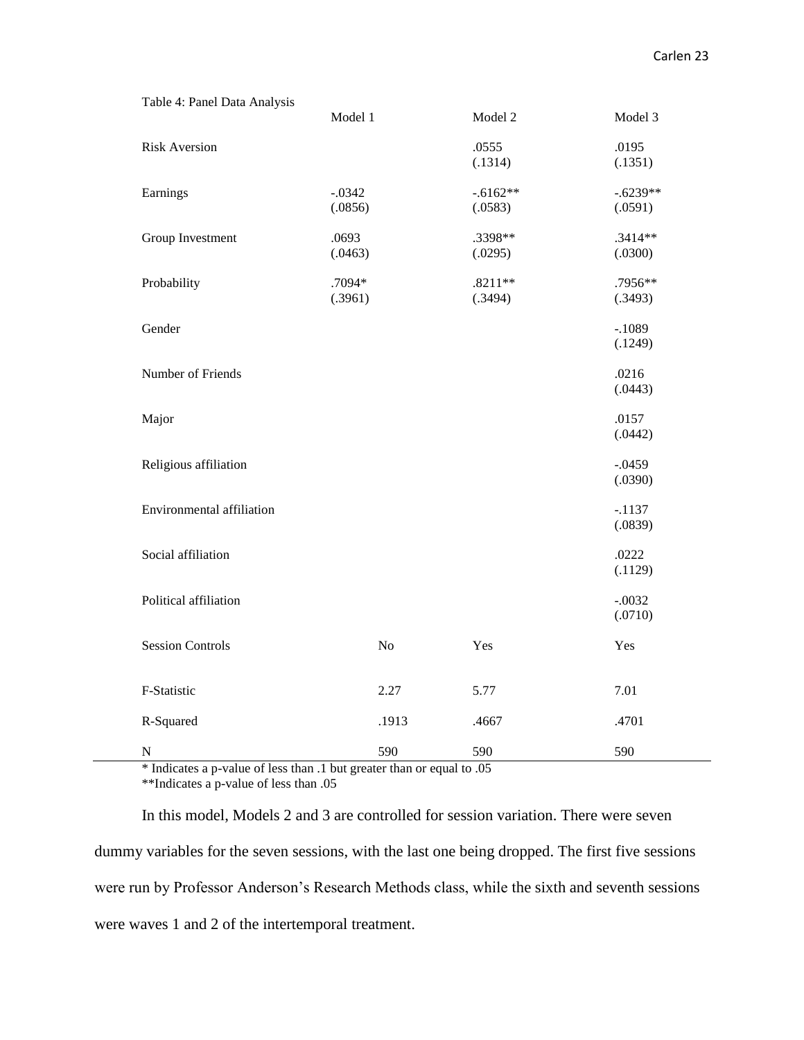| Table 4: Panel Data Analysis     |                     |          |                       |                       |
|----------------------------------|---------------------|----------|-----------------------|-----------------------|
|                                  | Model 1             |          | Model 2               | Model 3               |
| <b>Risk Aversion</b>             |                     |          | .0555<br>(.1314)      | .0195<br>(.1351)      |
| Earnings                         | $-.0342$<br>(.0856) |          | $-.6162**$<br>(.0583) | $-.6239**$<br>(.0591) |
| Group Investment                 | .0693<br>(.0463)    |          | .3398**<br>(.0295)    | $.3414**$<br>(.0300)  |
| Probability                      | .7094*<br>(.3961)   |          | $.8211**$<br>(.3494)  | .7956**<br>(.3493)    |
| Gender                           |                     |          |                       | $-.1089$<br>(.1249)   |
| Number of Friends                |                     |          |                       | .0216<br>(.0443)      |
| Major                            |                     |          |                       | .0157<br>(.0442)      |
| Religious affiliation            |                     |          |                       | $-.0459$<br>(.0390)   |
| <b>Environmental affiliation</b> |                     |          |                       | $-.1137$<br>(.0839)   |
| Social affiliation               |                     |          |                       | .0222<br>(.1129)      |
| Political affiliation            |                     |          |                       | $-.0032$<br>(.0710)   |
| <b>Session Controls</b>          |                     | $\rm No$ | Yes                   | Yes                   |
| F-Statistic                      |                     | 2.27     | 5.77                  | 7.01                  |
| R-Squared                        |                     | .1913    | .4667                 | .4701                 |
| ${\bf N}$                        |                     | 590      | 590                   | 590                   |

\* Indicates a p-value of less than .1 but greater than or equal to .05 \*\*Indicates a p-value of less than .05

In this model, Models 2 and 3 are controlled for session variation. There were seven dummy variables for the seven sessions, with the last one being dropped. The first five sessions were run by Professor Anderson's Research Methods class, while the sixth and seventh sessions were waves 1 and 2 of the intertemporal treatment.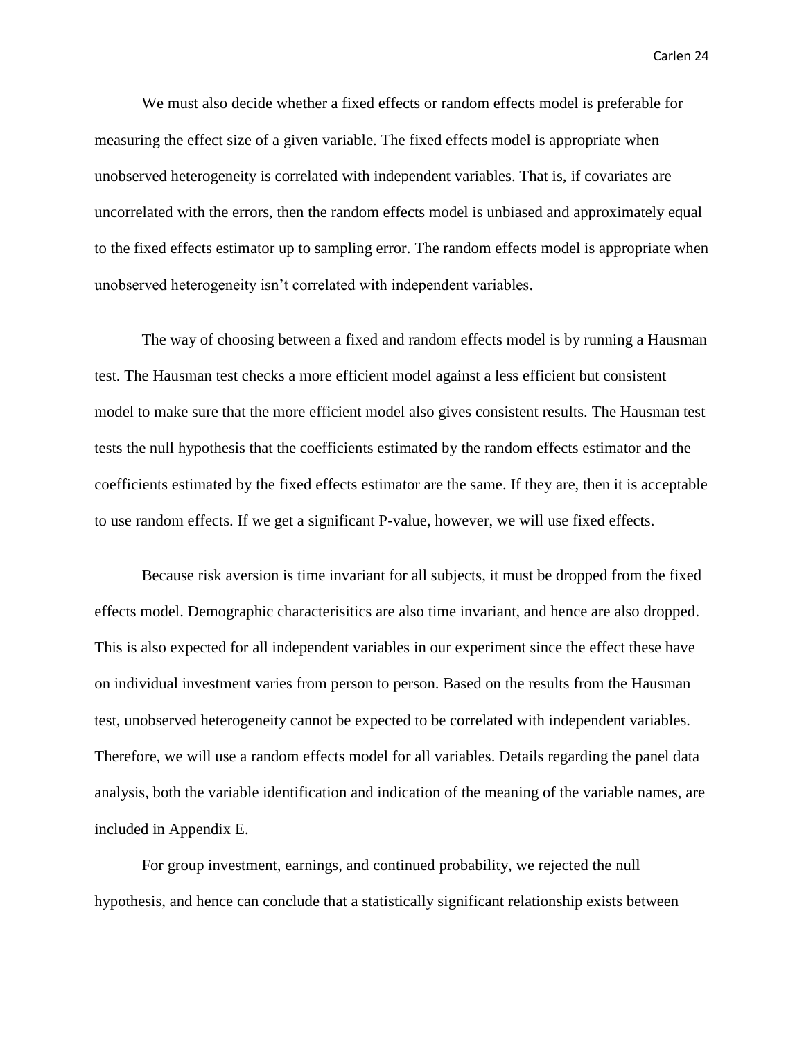We must also decide whether a fixed effects or random effects model is preferable for measuring the effect size of a given variable. The fixed effects model is appropriate when unobserved heterogeneity is correlated with independent variables. That is, if covariates are uncorrelated with the errors, then the random effects model is unbiased and approximately equal to the fixed effects estimator up to sampling error. The random effects model is appropriate when unobserved heterogeneity isn't correlated with independent variables.

The way of choosing between a fixed and random effects model is by running a Hausman test. The Hausman test checks a more efficient model against a less efficient but consistent model to make sure that the more efficient model also gives consistent results. The Hausman test tests the null hypothesis that the coefficients estimated by the random effects estimator and the coefficients estimated by the fixed effects estimator are the same. If they are, then it is acceptable to use random effects. If we get a significant P-value, however, we will use fixed effects.

Because risk aversion is time invariant for all subjects, it must be dropped from the fixed effects model. Demographic characterisitics are also time invariant, and hence are also dropped. This is also expected for all independent variables in our experiment since the effect these have on individual investment varies from person to person. Based on the results from the Hausman test, unobserved heterogeneity cannot be expected to be correlated with independent variables. Therefore, we will use a random effects model for all variables. Details regarding the panel data analysis, both the variable identification and indication of the meaning of the variable names, are included in Appendix E.

For group investment, earnings, and continued probability, we rejected the null hypothesis, and hence can conclude that a statistically significant relationship exists between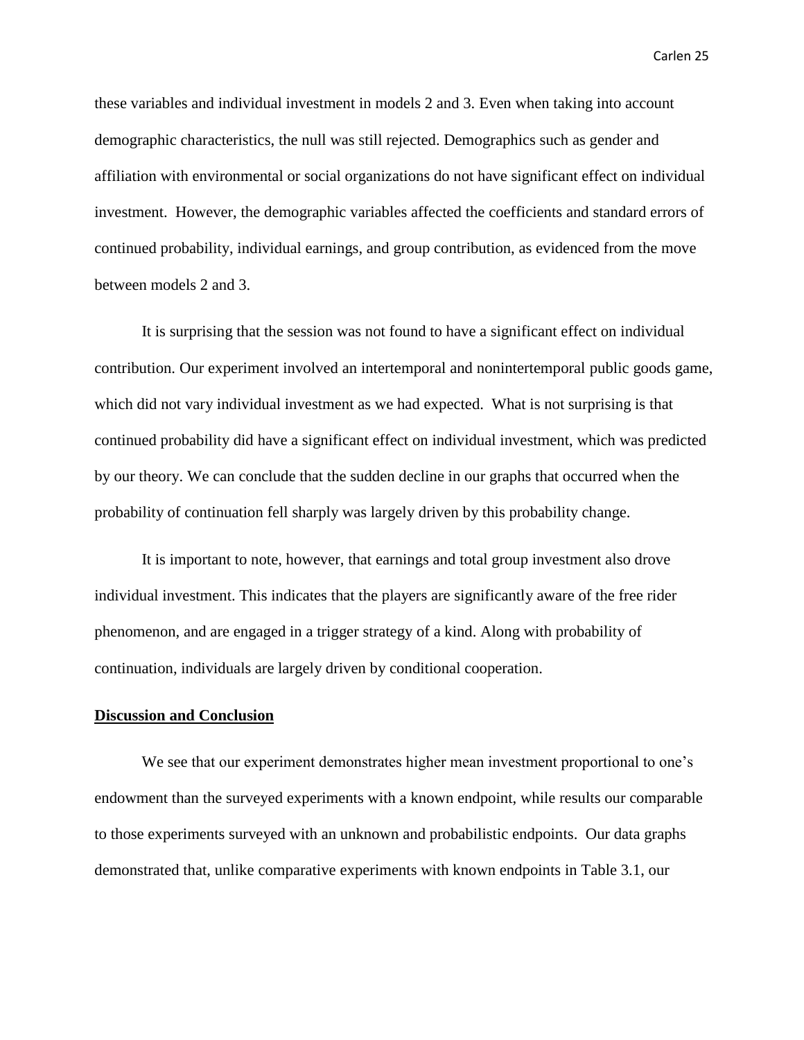these variables and individual investment in models 2 and 3. Even when taking into account demographic characteristics, the null was still rejected. Demographics such as gender and affiliation with environmental or social organizations do not have significant effect on individual investment. However, the demographic variables affected the coefficients and standard errors of continued probability, individual earnings, and group contribution, as evidenced from the move between models 2 and 3.

It is surprising that the session was not found to have a significant effect on individual contribution. Our experiment involved an intertemporal and nonintertemporal public goods game, which did not vary individual investment as we had expected. What is not surprising is that continued probability did have a significant effect on individual investment, which was predicted by our theory. We can conclude that the sudden decline in our graphs that occurred when the probability of continuation fell sharply was largely driven by this probability change.

It is important to note, however, that earnings and total group investment also drove individual investment. This indicates that the players are significantly aware of the free rider phenomenon, and are engaged in a trigger strategy of a kind. Along with probability of continuation, individuals are largely driven by conditional cooperation.

### **Discussion and Conclusion**

We see that our experiment demonstrates higher mean investment proportional to one's endowment than the surveyed experiments with a known endpoint, while results our comparable to those experiments surveyed with an unknown and probabilistic endpoints. Our data graphs demonstrated that, unlike comparative experiments with known endpoints in Table 3.1, our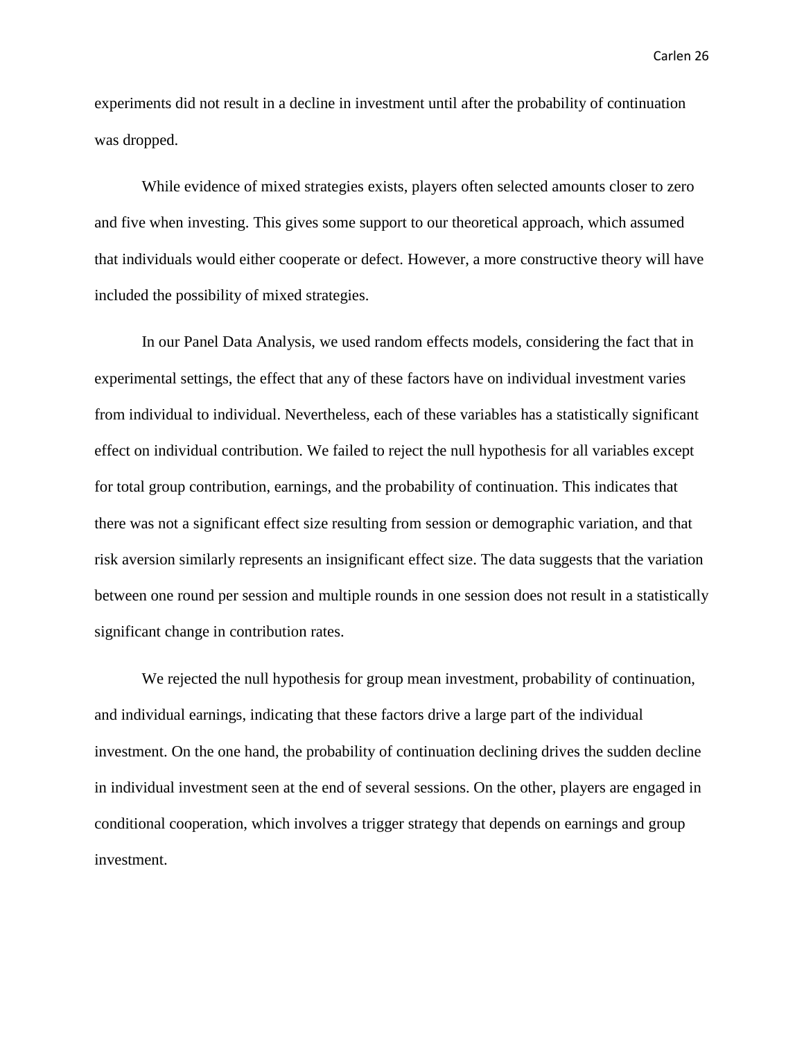experiments did not result in a decline in investment until after the probability of continuation was dropped.

While evidence of mixed strategies exists, players often selected amounts closer to zero and five when investing. This gives some support to our theoretical approach, which assumed that individuals would either cooperate or defect. However, a more constructive theory will have included the possibility of mixed strategies.

In our Panel Data Analysis, we used random effects models, considering the fact that in experimental settings, the effect that any of these factors have on individual investment varies from individual to individual. Nevertheless, each of these variables has a statistically significant effect on individual contribution. We failed to reject the null hypothesis for all variables except for total group contribution, earnings, and the probability of continuation. This indicates that there was not a significant effect size resulting from session or demographic variation, and that risk aversion similarly represents an insignificant effect size. The data suggests that the variation between one round per session and multiple rounds in one session does not result in a statistically significant change in contribution rates.

We rejected the null hypothesis for group mean investment, probability of continuation, and individual earnings, indicating that these factors drive a large part of the individual investment. On the one hand, the probability of continuation declining drives the sudden decline in individual investment seen at the end of several sessions. On the other, players are engaged in conditional cooperation, which involves a trigger strategy that depends on earnings and group investment.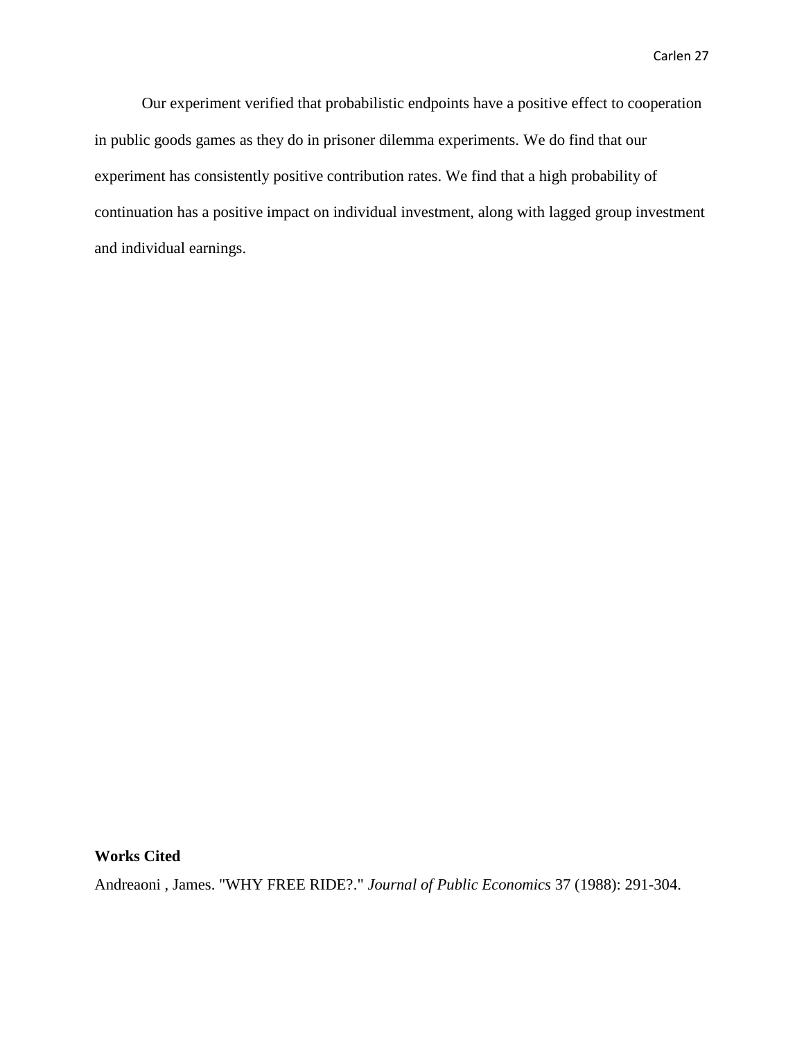Our experiment verified that probabilistic endpoints have a positive effect to cooperation in public goods games as they do in prisoner dilemma experiments. We do find that our experiment has consistently positive contribution rates. We find that a high probability of continuation has a positive impact on individual investment, along with lagged group investment and individual earnings.

#### **Works Cited**

Andreaoni , James. "WHY FREE RIDE?." *Journal of Public Economics* 37 (1988): 291-304.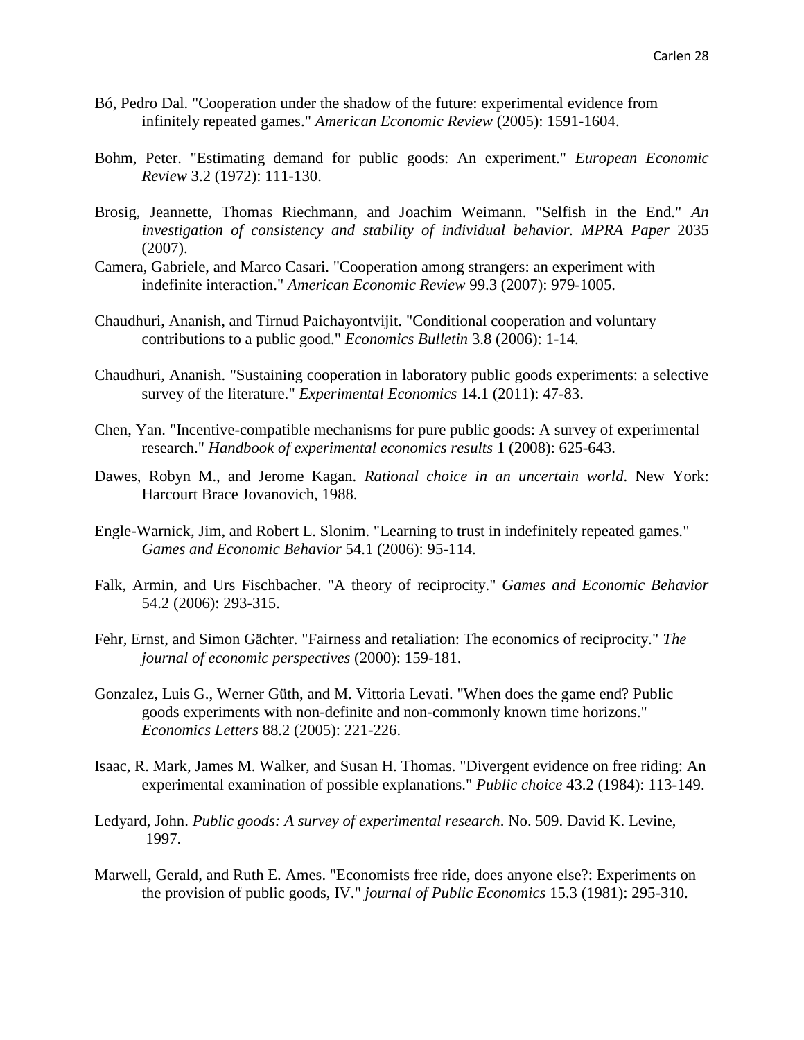- Bó, Pedro Dal. "Cooperation under the shadow of the future: experimental evidence from infinitely repeated games." *American Economic Review* (2005): 1591-1604.
- Bohm, Peter. "Estimating demand for public goods: An experiment." *European Economic Review* 3.2 (1972): 111-130.
- Brosig, Jeannette, Thomas Riechmann, and Joachim Weimann. "Selfish in the End." *An investigation of consistency and stability of individual behavior. MPRA Paper* 2035 (2007).
- Camera, Gabriele, and Marco Casari. "Cooperation among strangers: an experiment with indefinite interaction." *American Economic Review* 99.3 (2007): 979-1005.
- Chaudhuri, Ananish, and Tirnud Paichayontvijit. "Conditional cooperation and voluntary contributions to a public good." *Economics Bulletin* 3.8 (2006): 1-14.
- Chaudhuri, Ananish. "Sustaining cooperation in laboratory public goods experiments: a selective survey of the literature." *Experimental Economics* 14.1 (2011): 47-83.
- Chen, Yan. "Incentive-compatible mechanisms for pure public goods: A survey of experimental research." *Handbook of experimental economics results* 1 (2008): 625-643.
- Dawes, Robyn M., and Jerome Kagan. *Rational choice in an uncertain world*. New York: Harcourt Brace Jovanovich, 1988.
- Engle-Warnick, Jim, and Robert L. Slonim. "Learning to trust in indefinitely repeated games." *Games and Economic Behavior* 54.1 (2006): 95-114.
- Falk, Armin, and Urs Fischbacher. "A theory of reciprocity." *Games and Economic Behavior* 54.2 (2006): 293-315.
- Fehr, Ernst, and Simon Gächter. "Fairness and retaliation: The economics of reciprocity." *The journal of economic perspectives* (2000): 159-181.
- Gonzalez, Luis G., Werner Güth, and M. Vittoria Levati. "When does the game end? Public goods experiments with non-definite and non-commonly known time horizons." *Economics Letters* 88.2 (2005): 221-226.
- Isaac, R. Mark, James M. Walker, and Susan H. Thomas. "Divergent evidence on free riding: An experimental examination of possible explanations." *Public choice* 43.2 (1984): 113-149.
- Ledyard, John. *Public goods: A survey of experimental research*. No. 509. David K. Levine, 1997.
- Marwell, Gerald, and Ruth E. Ames. "Economists free ride, does anyone else?: Experiments on the provision of public goods, IV." *journal of Public Economics* 15.3 (1981): 295-310.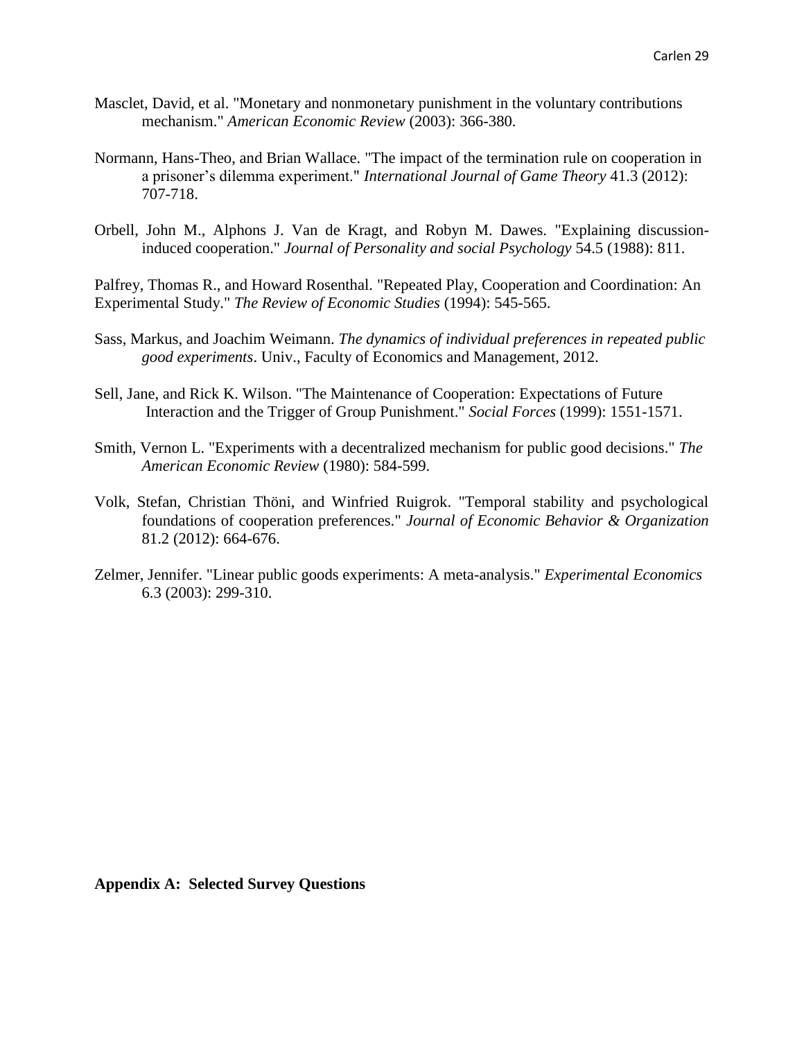- Masclet, David, et al. "Monetary and nonmonetary punishment in the voluntary contributions mechanism." *American Economic Review* (2003): 366-380.
- Normann, Hans-Theo, and Brian Wallace. "The impact of the termination rule on cooperation in a prisoner's dilemma experiment." *International Journal of Game Theory* 41.3 (2012): 707-718.
- Orbell, John M., Alphons J. Van de Kragt, and Robyn M. Dawes. "Explaining discussioninduced cooperation." *Journal of Personality and social Psychology* 54.5 (1988): 811.

Palfrey, Thomas R., and Howard Rosenthal. "Repeated Play, Cooperation and Coordination: An Experimental Study." *The Review of Economic Studies* (1994): 545-565.

- Sass, Markus, and Joachim Weimann. *The dynamics of individual preferences in repeated public good experiments*. Univ., Faculty of Economics and Management, 2012.
- Sell, Jane, and Rick K. Wilson. "The Maintenance of Cooperation: Expectations of Future Interaction and the Trigger of Group Punishment." *Social Forces* (1999): 1551-1571.
- Smith, Vernon L. "Experiments with a decentralized mechanism for public good decisions." *The American Economic Review* (1980): 584-599.
- Volk, Stefan, Christian Thöni, and Winfried Ruigrok. "Temporal stability and psychological foundations of cooperation preferences." *Journal of Economic Behavior & Organization* 81.2 (2012): 664-676.
- Zelmer, Jennifer. "Linear public goods experiments: A meta-analysis." *Experimental Economics* 6.3 (2003): 299-310.

**Appendix A: Selected Survey Questions**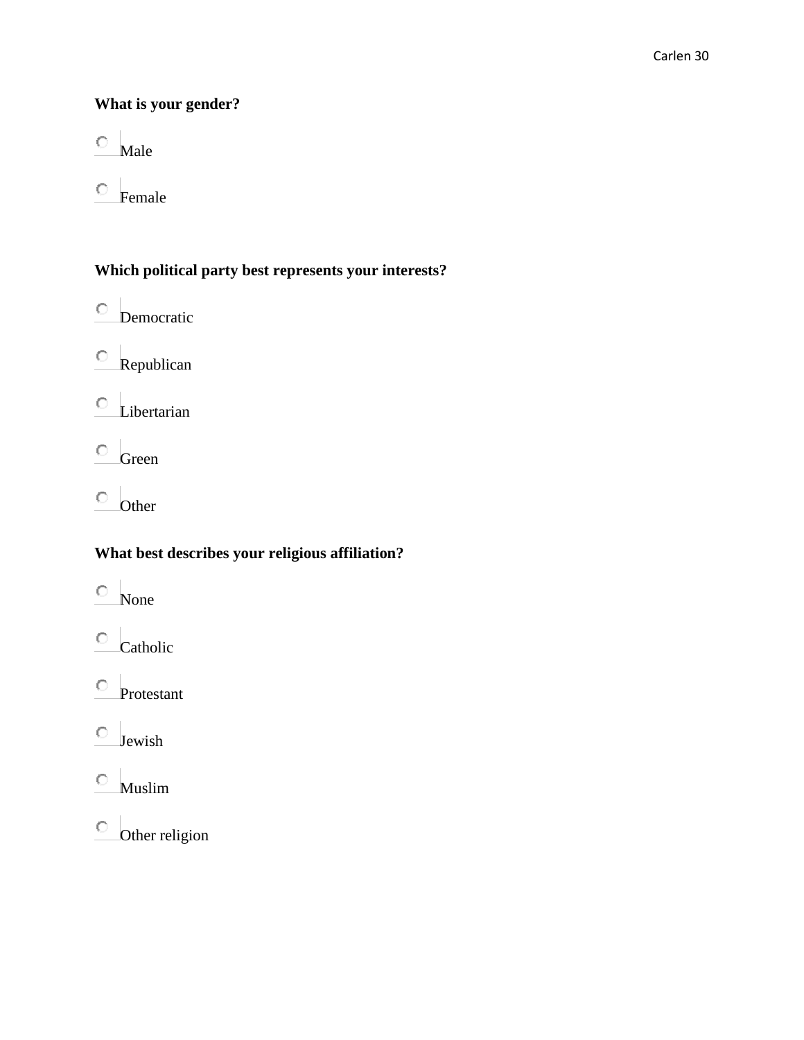# **What is your gender?**

 $\circ$  Male

 $\circ$  Female

# **Which political party best represents your interests?**

Democratic

 $\circ$  Republican

 $\circ$  Libertarian

 $\circ$  Green

 $\circ$  Other

# **What best describes your religious affiliation?**

- $\circ$  None
- $\circ$  Catholic

 $\overline{\circ}$  Protestant

 $\hfill\ensuremath{\mathbb{O}}\xspace$  Jewish

 $\hfill\ensuremath{\mathbb{O}}$  Muslim

 $\circ$  Other religion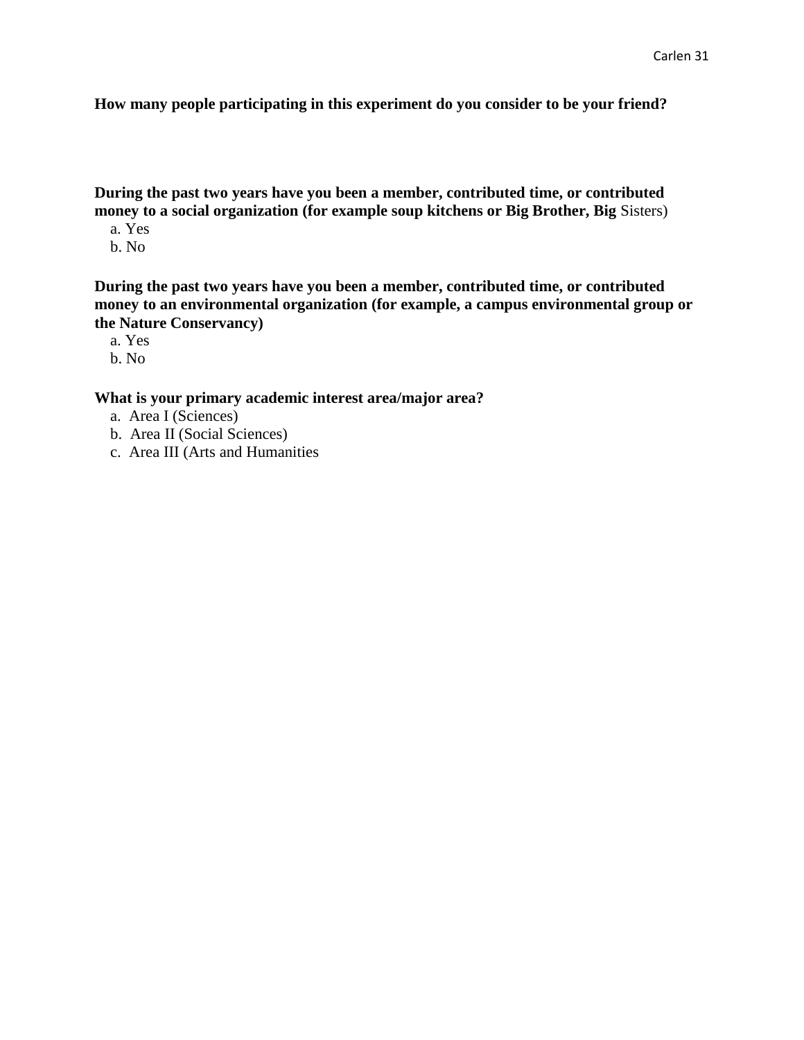**How many people participating in this experiment do you consider to be your friend?** 

**During the past two years have you been a member, contributed time, or contributed money to a social organization (for example soup kitchens or Big Brother, Big** Sisters)

- a. Yes
- b. No

**During the past two years have you been a member, contributed time, or contributed money to an environmental organization (for example, a campus environmental group or the Nature Conservancy)**

- a. Yes
- b. No

### **What is your primary academic interest area/major area?**

- a. Area I (Sciences)
- b. Area II (Social Sciences)
- c. Area III (Arts and Humanities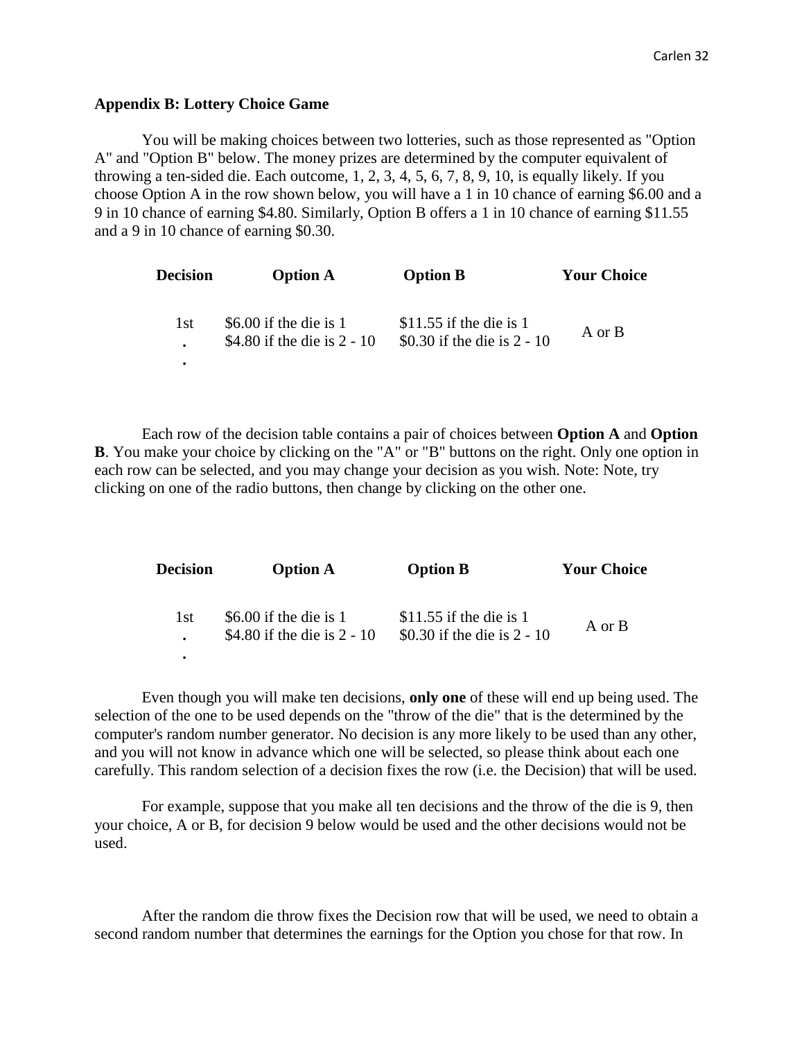### **Appendix B: Lottery Choice Game**

You will be making choices between two lotteries, such as those represented as "Option A" and "Option B" below. The money prizes are determined by the computer equivalent of throwing a ten-sided die. Each outcome, 1, 2, 3, 4, 5, 6, 7, 8, 9, 10, is equally likely. If you choose Option A in the row shown below, you will have a 1 in 10 chance of earning \$6.00 and a 9 in 10 chance of earning \$4.80. Similarly, Option B offers a 1 in 10 chance of earning \$11.55 and a 9 in 10 chance of earning \$0.30.

| <b>Decision</b> | <b>Option A</b>                                         | <b>Option B</b>                                          | <b>Your Choice</b> |
|-----------------|---------------------------------------------------------|----------------------------------------------------------|--------------------|
| 1st.            | \$6.00 if the die is $1$<br>\$4.80 if the die is 2 - 10 | \$11.55 if the die is 1<br>\$0.30 if the die is $2 - 10$ | A or B             |
|                 |                                                         |                                                          |                    |

Each row of the decision table contains a pair of choices between **Option A** and **Option B**. You make your choice by clicking on the "A" or "B" buttons on the right. Only one option in each row can be selected, and you may change your decision as you wish. Note: Note, try clicking on one of the radio buttons, then change by clicking on the other one.

| <b>Decision</b> | <b>Option A</b>                                         | <b>Option B</b>                                        | <b>Your Choice</b> |
|-----------------|---------------------------------------------------------|--------------------------------------------------------|--------------------|
| 1st             | \$6.00 if the die is $1$<br>\$4.80 if the die is 2 - 10 | \$11.55 if the die is 1<br>\$0.30 if the die is 2 - 10 | A or B             |
|                 |                                                         |                                                        |                    |

Even though you will make ten decisions, **only one** of these will end up being used. The selection of the one to be used depends on the "throw of the die" that is the determined by the computer's random number generator. No decision is any more likely to be used than any other, and you will not know in advance which one will be selected, so please think about each one carefully. This random selection of a decision fixes the row (i.e. the Decision) that will be used.

For example, suppose that you make all ten decisions and the throw of the die is 9, then your choice, A or B, for decision 9 below would be used and the other decisions would not be used.

After the random die throw fixes the Decision row that will be used, we need to obtain a second random number that determines the earnings for the Option you chose for that row. In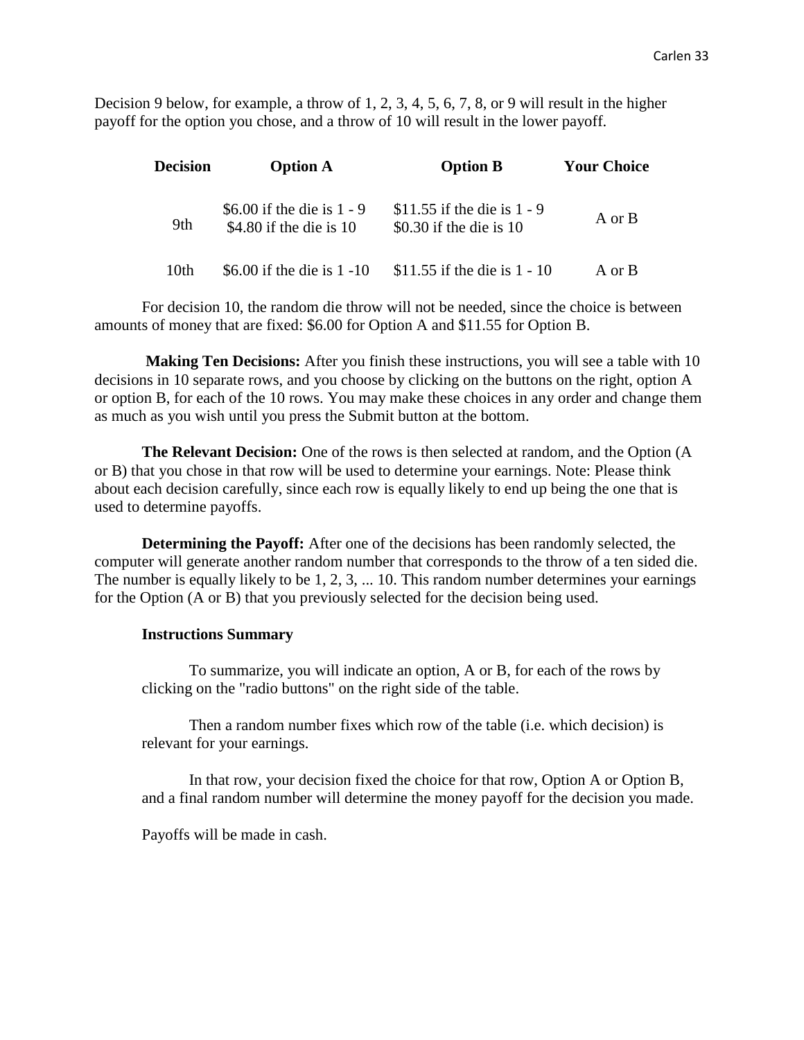Decision 9 below, for example, a throw of 1, 2, 3, 4, 5, 6, 7, 8, or 9 will result in the higher payoff for the option you chose, and a throw of 10 will result in the lower payoff.

| <b>Decision</b> | <b>Option A</b>                                           | <b>Option B</b>                                            | <b>Your Choice</b> |
|-----------------|-----------------------------------------------------------|------------------------------------------------------------|--------------------|
| 9th             | \$6.00 if the die is $1 - 9$<br>\$4.80 if the die is $10$ | \$11.55 if the die is $1 - 9$<br>\$0.30 if the die is $10$ | A or B             |
| 10th            | \$6.00 if the die is $1 - 10$                             | \$11.55 if the die is $1 - 10$                             | A or B             |

For decision 10, the random die throw will not be needed, since the choice is between amounts of money that are fixed: \$6.00 for Option A and \$11.55 for Option B.

**Making Ten Decisions:** After you finish these instructions, you will see a table with 10 decisions in 10 separate rows, and you choose by clicking on the buttons on the right, option A or option B, for each of the 10 rows. You may make these choices in any order and change them as much as you wish until you press the Submit button at the bottom.

**The Relevant Decision:** One of the rows is then selected at random, and the Option (A or B) that you chose in that row will be used to determine your earnings. Note: Please think about each decision carefully, since each row is equally likely to end up being the one that is used to determine payoffs.

**Determining the Payoff:** After one of the decisions has been randomly selected, the computer will generate another random number that corresponds to the throw of a ten sided die. The number is equally likely to be 1, 2, 3, ... 10. This random number determines your earnings for the Option (A or B) that you previously selected for the decision being used.

#### **Instructions Summary**

To summarize, you will indicate an option, A or B, for each of the rows by clicking on the "radio buttons" on the right side of the table.

Then a random number fixes which row of the table (i.e. which decision) is relevant for your earnings.

In that row, your decision fixed the choice for that row, Option A or Option B, and a final random number will determine the money payoff for the decision you made.

Payoffs will be made in cash.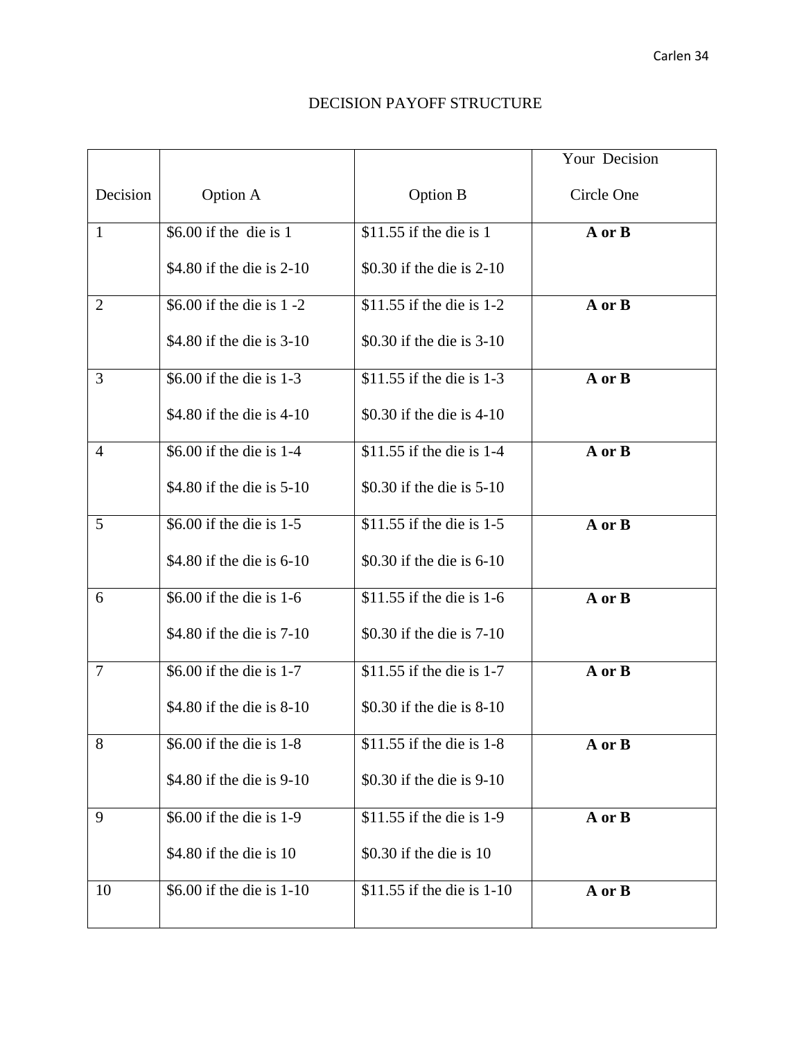### DECISION PAYOFF STRUCTURE

|                |                             |                            | Your Decision |
|----------------|-----------------------------|----------------------------|---------------|
| Decision       | Option A                    | Option B                   | Circle One    |
| $\mathbf{1}$   | \$6.00 if the die is $1$    | \$11.55 if the die is $1$  | A or B        |
|                | \$4.80 if the die is 2-10   | \$0.30 if the die is 2-10  |               |
| $\overline{2}$ | \$6.00 if the die is 1 -2   | \$11.55 if the die is 1-2  | A or B        |
|                | \$4.80 if the die is 3-10   | \$0.30 if the die is 3-10  |               |
| 3              | \$6.00 if the die is 1-3    | \$11.55 if the die is 1-3  | A or B        |
|                | \$4.80 if the die is $4-10$ | \$0.30 if the die is 4-10  |               |
| 4              | \$6.00 if the die is 1-4    | \$11.55 if the die is 1-4  | A or B        |
|                | \$4.80 if the die is 5-10   | \$0.30 if the die is 5-10  |               |
| 5              | \$6.00 if the die is 1-5    | \$11.55 if the die is 1-5  | A or B        |
|                | \$4.80 if the die is 6-10   | \$0.30 if the die is 6-10  |               |
| 6              | \$6.00 if the die is 1-6    | \$11.55 if the die is 1-6  | A or B        |
|                | \$4.80 if the die is 7-10   | \$0.30 if the die is 7-10  |               |
| 7              | \$6.00 if the die is 1-7    | $$11.55$ if the die is 1-7 | A or B        |
|                | \$4.80 if the die is 8-10   | \$0.30 if the die is 8-10  |               |
| 8              | \$6.00 if the die is 1-8    | \$11.55 if the die is 1-8  | A or B        |
|                | \$4.80 if the die is 9-10   | \$0.30 if the die is 9-10  |               |
| 9              | \$6.00 if the die is 1-9    | \$11.55 if the die is 1-9  | A or B        |
|                | \$4.80 if the die is 10     | \$0.30 if the die is 10    |               |
| 10             | \$6.00 if the die is 1-10   | \$11.55 if the die is 1-10 | A or B        |
|                |                             |                            |               |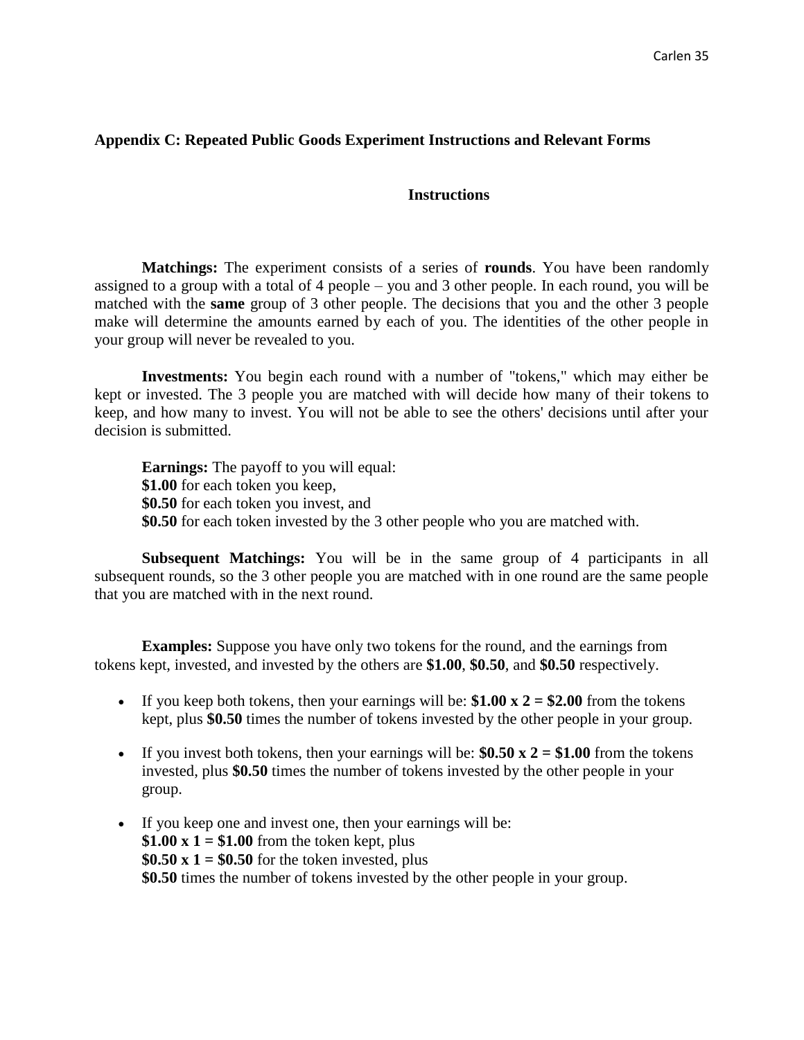### **Appendix C: Repeated Public Goods Experiment Instructions and Relevant Forms**

### **Instructions**

**Matchings:** The experiment consists of a series of **rounds**. You have been randomly assigned to a group with a total of 4 people – you and 3 other people. In each round, you will be matched with the **same** group of 3 other people. The decisions that you and the other 3 people make will determine the amounts earned by each of you. The identities of the other people in your group will never be revealed to you.

**Investments:** You begin each round with a number of "tokens," which may either be kept or invested. The 3 people you are matched with will decide how many of their tokens to keep, and how many to invest. You will not be able to see the others' decisions until after your decision is submitted.

**Earnings:** The payoff to you will equal: **\$1.00** for each token you keep, **\$0.50** for each token you invest, and **\$0.50** for each token invested by the 3 other people who you are matched with.

**Subsequent Matchings:** You will be in the same group of 4 participants in all subsequent rounds, so the 3 other people you are matched with in one round are the same people that you are matched with in the next round.

**Examples:** Suppose you have only two tokens for the round, and the earnings from tokens kept, invested, and invested by the others are **\$1.00**, **\$0.50**, and **\$0.50** respectively.

- If you keep both tokens, then your earnings will be:  $$1.00 \times 2 = $2.00$  from the tokens kept, plus **\$0.50** times the number of tokens invested by the other people in your group.
- If you invest both tokens, then your earnings will be:  $$0.50 \times 2 = $1.00$  from the tokens invested, plus **\$0.50** times the number of tokens invested by the other people in your group.
- If you keep one and invest one, then your earnings will be: \$1.00  $x$  1 = \$1.00 from the token kept, plus  $$0.50 \times 1 = $0.50$  for the token invested, plus **\$0.50** times the number of tokens invested by the other people in your group.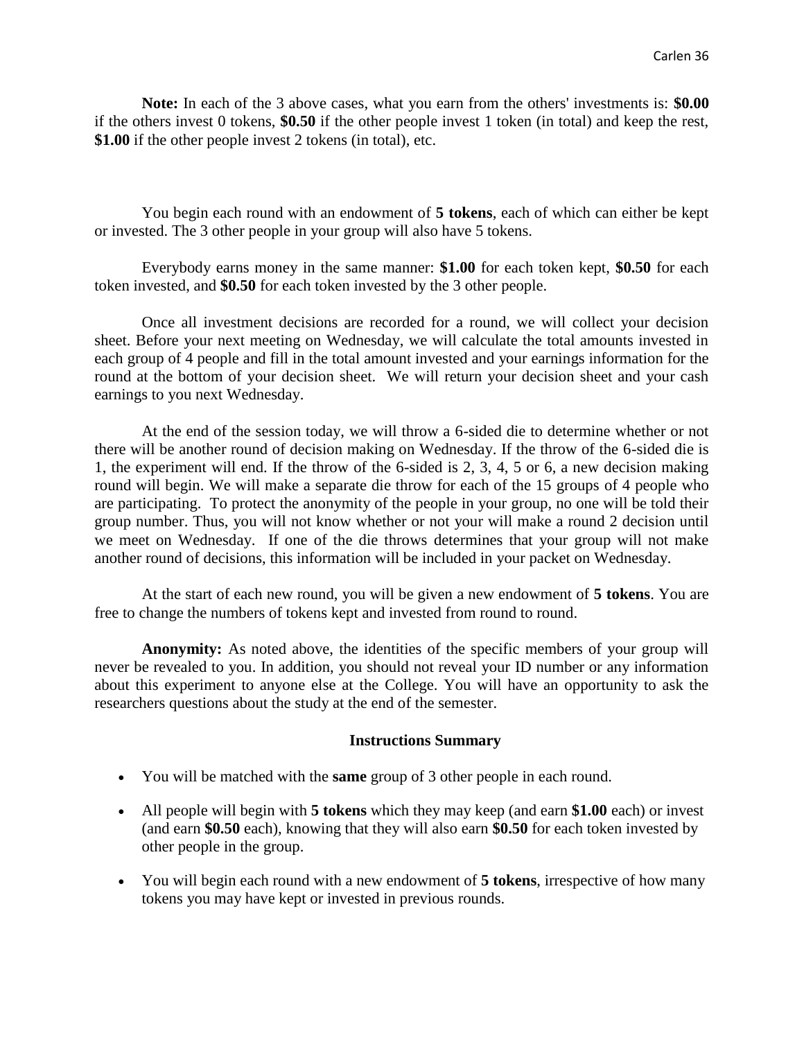**Note:** In each of the 3 above cases, what you earn from the others' investments is: **\$0.00** if the others invest 0 tokens, **\$0.50** if the other people invest 1 token (in total) and keep the rest, **\$1.00** if the other people invest 2 tokens (in total), etc.

You begin each round with an endowment of **5 tokens**, each of which can either be kept or invested. The 3 other people in your group will also have 5 tokens.

Everybody earns money in the same manner: **\$1.00** for each token kept, **\$0.50** for each token invested, and **\$0.50** for each token invested by the 3 other people.

Once all investment decisions are recorded for a round, we will collect your decision sheet. Before your next meeting on Wednesday, we will calculate the total amounts invested in each group of 4 people and fill in the total amount invested and your earnings information for the round at the bottom of your decision sheet. We will return your decision sheet and your cash earnings to you next Wednesday.

At the end of the session today, we will throw a 6-sided die to determine whether or not there will be another round of decision making on Wednesday. If the throw of the 6-sided die is 1, the experiment will end. If the throw of the 6-sided is 2, 3, 4, 5 or 6, a new decision making round will begin. We will make a separate die throw for each of the 15 groups of 4 people who are participating. To protect the anonymity of the people in your group, no one will be told their group number. Thus, you will not know whether or not your will make a round 2 decision until we meet on Wednesday. If one of the die throws determines that your group will not make another round of decisions, this information will be included in your packet on Wednesday.

At the start of each new round, you will be given a new endowment of **5 tokens**. You are free to change the numbers of tokens kept and invested from round to round.

**Anonymity:** As noted above, the identities of the specific members of your group will never be revealed to you. In addition, you should not reveal your ID number or any information about this experiment to anyone else at the College. You will have an opportunity to ask the researchers questions about the study at the end of the semester.

### **Instructions Summary**

- You will be matched with the **same** group of 3 other people in each round.
- All people will begin with **5 tokens** which they may keep (and earn **\$1.00** each) or invest (and earn **\$0.50** each), knowing that they will also earn **\$0.50** for each token invested by other people in the group.
- You will begin each round with a new endowment of **5 tokens**, irrespective of how many tokens you may have kept or invested in previous rounds.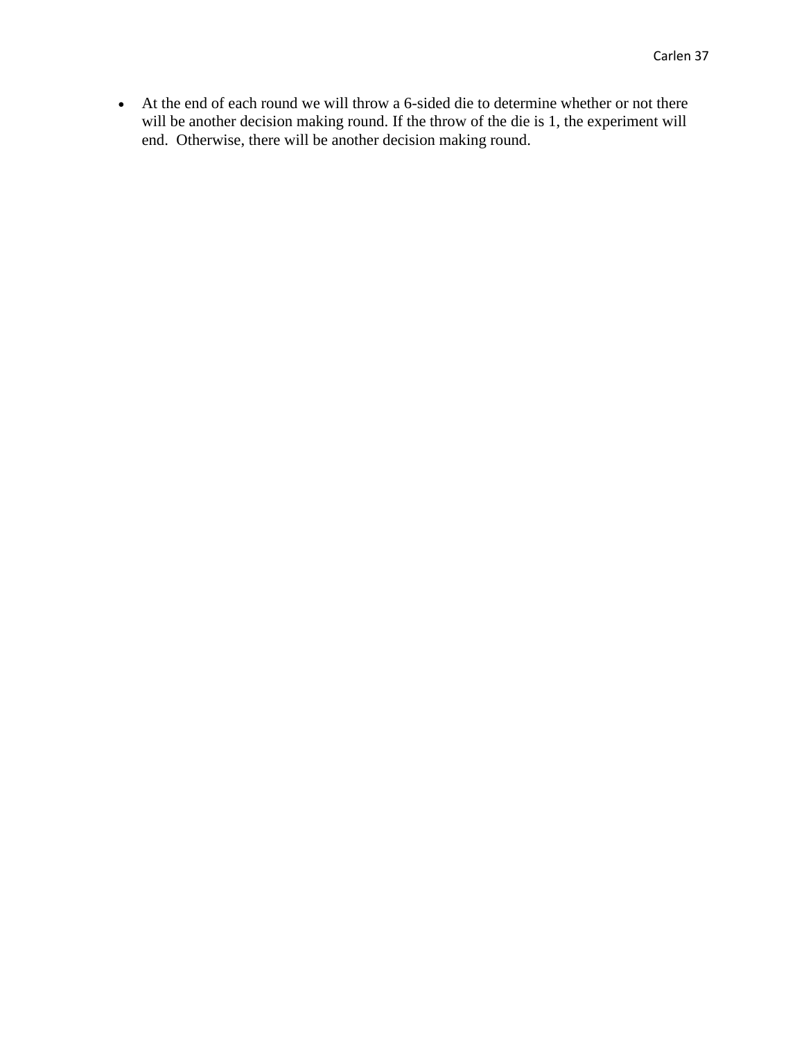At the end of each round we will throw a 6-sided die to determine whether or not there will be another decision making round. If the throw of the die is 1, the experiment will end. Otherwise, there will be another decision making round.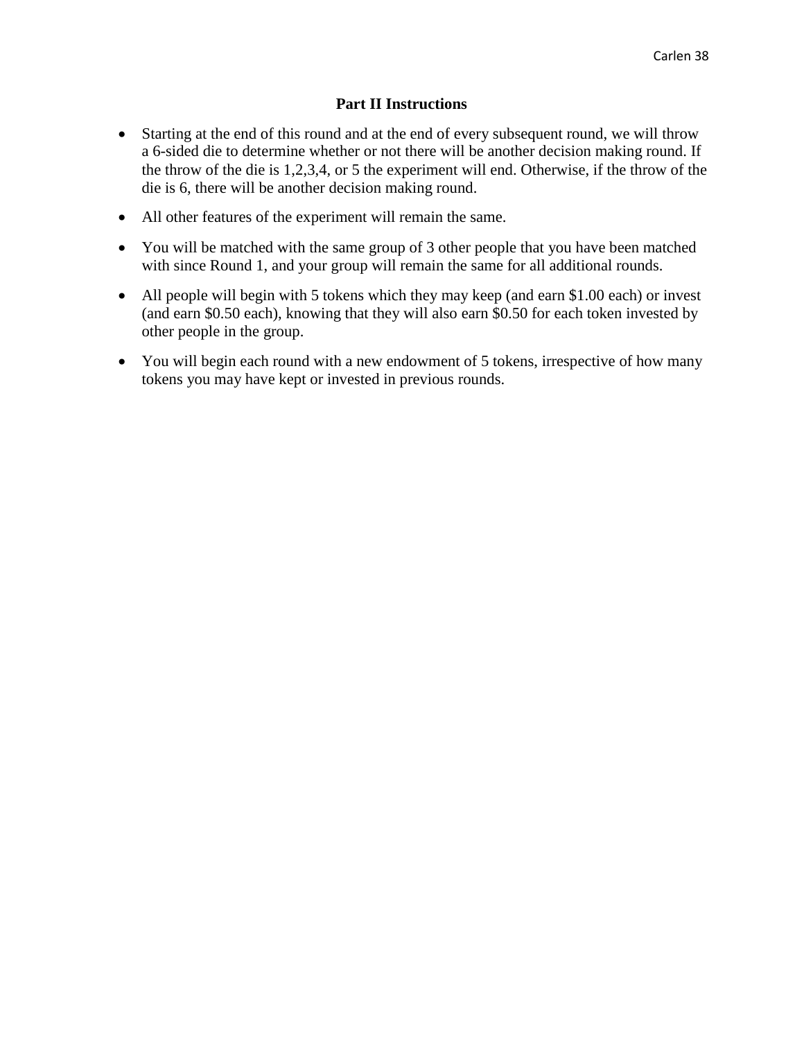### **Part II Instructions**

- Starting at the end of this round and at the end of every subsequent round, we will throw a 6-sided die to determine whether or not there will be another decision making round. If the throw of the die is 1,2,3,4, or 5 the experiment will end. Otherwise, if the throw of the die is 6, there will be another decision making round.
- All other features of the experiment will remain the same.
- You will be matched with the same group of 3 other people that you have been matched with since Round 1, and your group will remain the same for all additional rounds.
- All people will begin with 5 tokens which they may keep (and earn \$1.00 each) or invest (and earn \$0.50 each), knowing that they will also earn \$0.50 for each token invested by other people in the group.
- You will begin each round with a new endowment of 5 tokens, irrespective of how many tokens you may have kept or invested in previous rounds.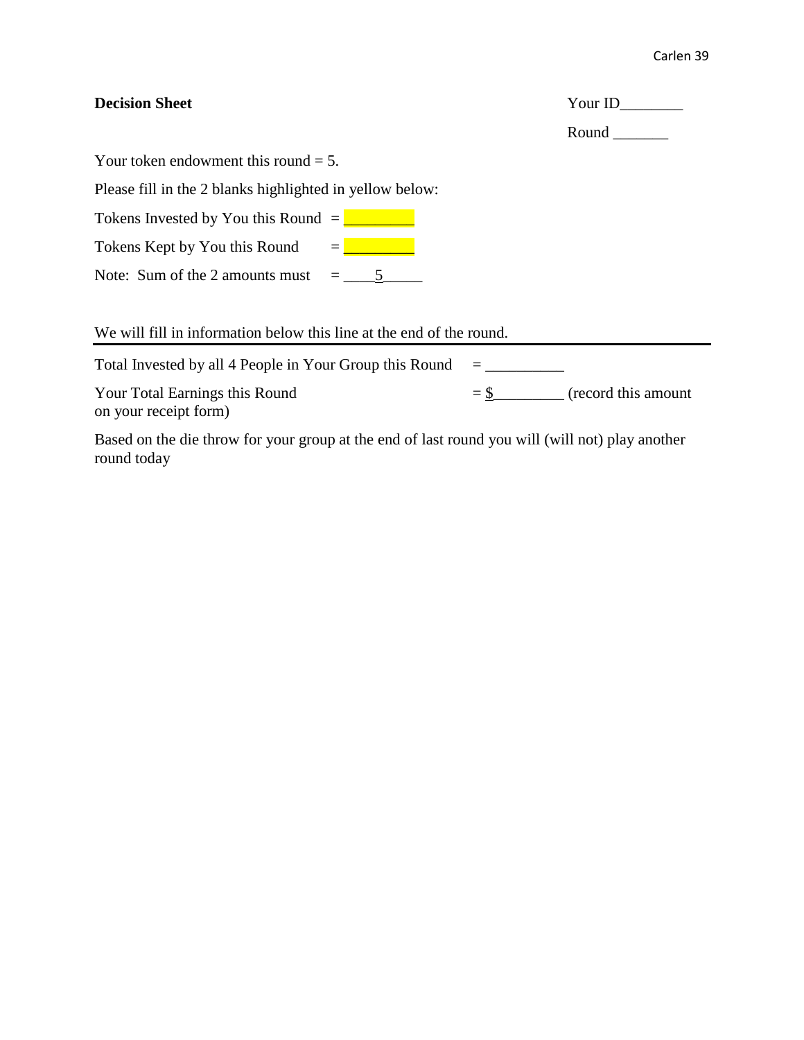| <b>Decision Sheet</b>                                                                                                                                                                                                                                                                                                                                                          |  | Your ID<br>Round                   |  |
|--------------------------------------------------------------------------------------------------------------------------------------------------------------------------------------------------------------------------------------------------------------------------------------------------------------------------------------------------------------------------------|--|------------------------------------|--|
| Your token endowment this round $= 5$ .                                                                                                                                                                                                                                                                                                                                        |  |                                    |  |
| Please fill in the 2 blanks highlighted in yellow below:                                                                                                                                                                                                                                                                                                                       |  |                                    |  |
| Tokens Invested by You this Round $=\sqrt{\frac{1}{2} \left(\frac{1}{2} + \frac{1}{2} + \frac{1}{2} + \frac{1}{2} + \frac{1}{2} + \frac{1}{2} + \frac{1}{2} + \frac{1}{2} + \frac{1}{2} + \frac{1}{2} + \frac{1}{2} + \frac{1}{2} + \frac{1}{2} + \frac{1}{2} + \frac{1}{2} + \frac{1}{2} + \frac{1}{2} + \frac{1}{2} + \frac{1}{2} + \frac{1}{2} + \frac{1}{2} + \frac{1}{2}$ |  |                                    |  |
| Tokens Kept by You this Round                                                                                                                                                                                                                                                                                                                                                  |  |                                    |  |
|                                                                                                                                                                                                                                                                                                                                                                                |  |                                    |  |
| We will fill in information below this line at the end of the round.                                                                                                                                                                                                                                                                                                           |  |                                    |  |
| Total Invested by all 4 People in Your Group this Round                                                                                                                                                                                                                                                                                                                        |  |                                    |  |
| Your Total Earnings this Round<br>on your receipt form)                                                                                                                                                                                                                                                                                                                        |  | $=\frac{1}{2}$ (record this amount |  |
| Based on the die throw for your group at the end of last round you will (will not) play another                                                                                                                                                                                                                                                                                |  |                                    |  |

round today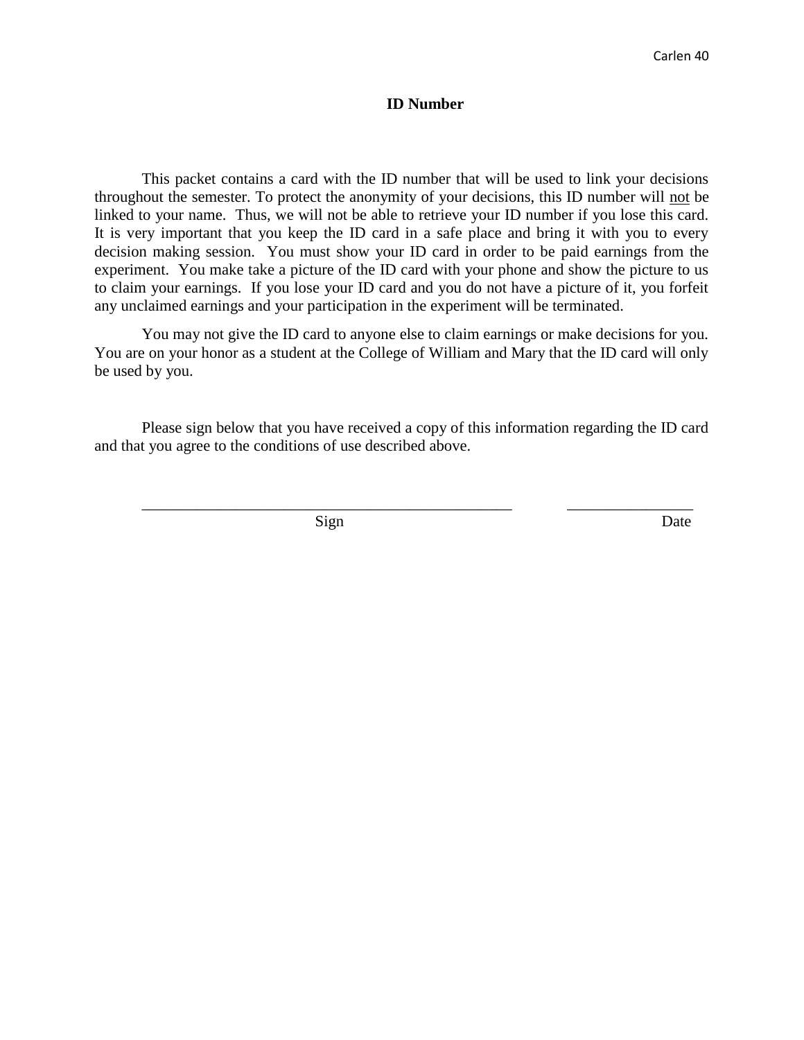### **ID Number**

This packet contains a card with the ID number that will be used to link your decisions throughout the semester. To protect the anonymity of your decisions, this ID number will not be linked to your name. Thus, we will not be able to retrieve your ID number if you lose this card. It is very important that you keep the ID card in a safe place and bring it with you to every decision making session. You must show your ID card in order to be paid earnings from the experiment. You make take a picture of the ID card with your phone and show the picture to us to claim your earnings. If you lose your ID card and you do not have a picture of it, you forfeit any unclaimed earnings and your participation in the experiment will be terminated.

You may not give the ID card to anyone else to claim earnings or make decisions for you. You are on your honor as a student at the College of William and Mary that the ID card will only be used by you.

Please sign below that you have received a copy of this information regarding the ID card and that you agree to the conditions of use described above.

\_\_\_\_\_\_\_\_\_\_\_\_\_\_\_\_\_\_\_\_\_\_\_\_\_\_\_\_\_\_\_\_\_\_\_\_\_\_\_\_\_\_\_\_\_\_\_ \_\_\_\_\_\_\_\_\_\_\_\_\_\_\_\_

Sign Date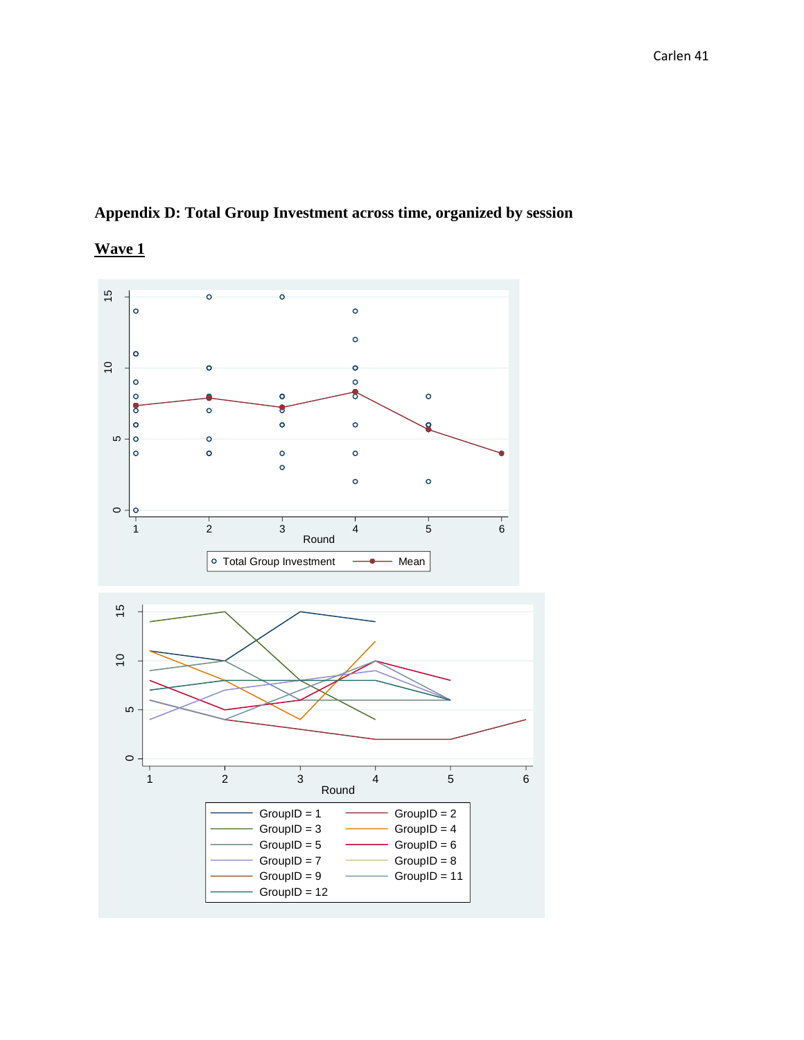# **Appendix D: Total Group Investment across time, organized by session**



## **Wave 1**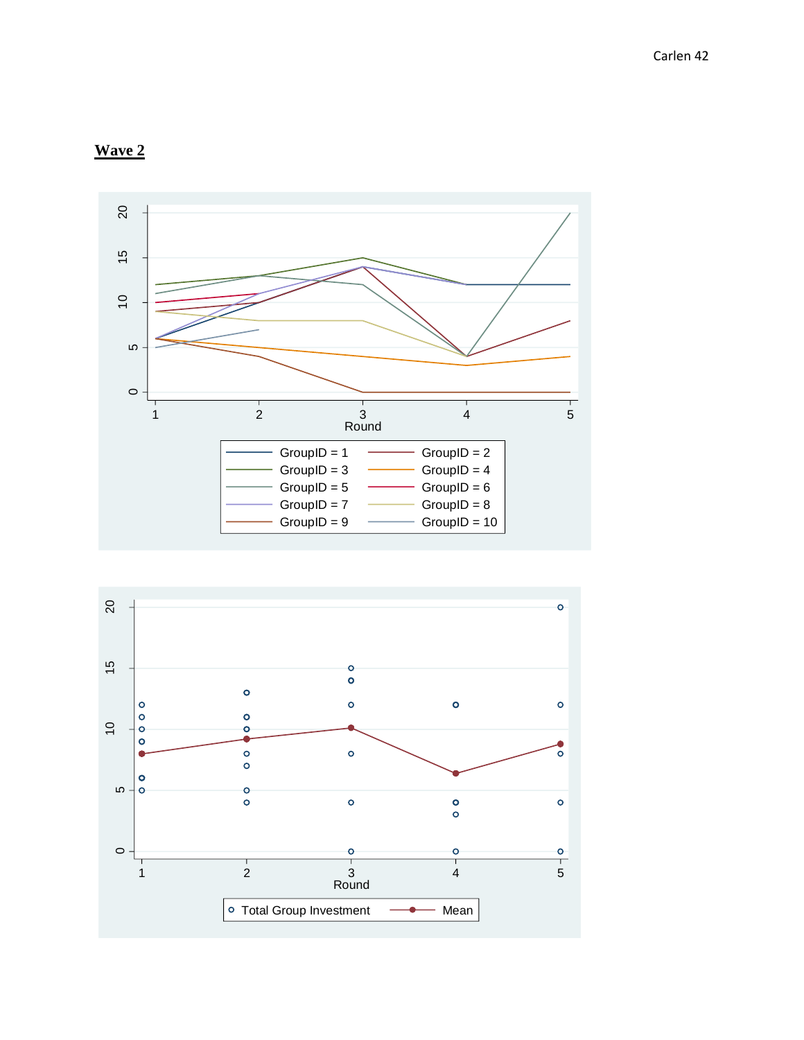



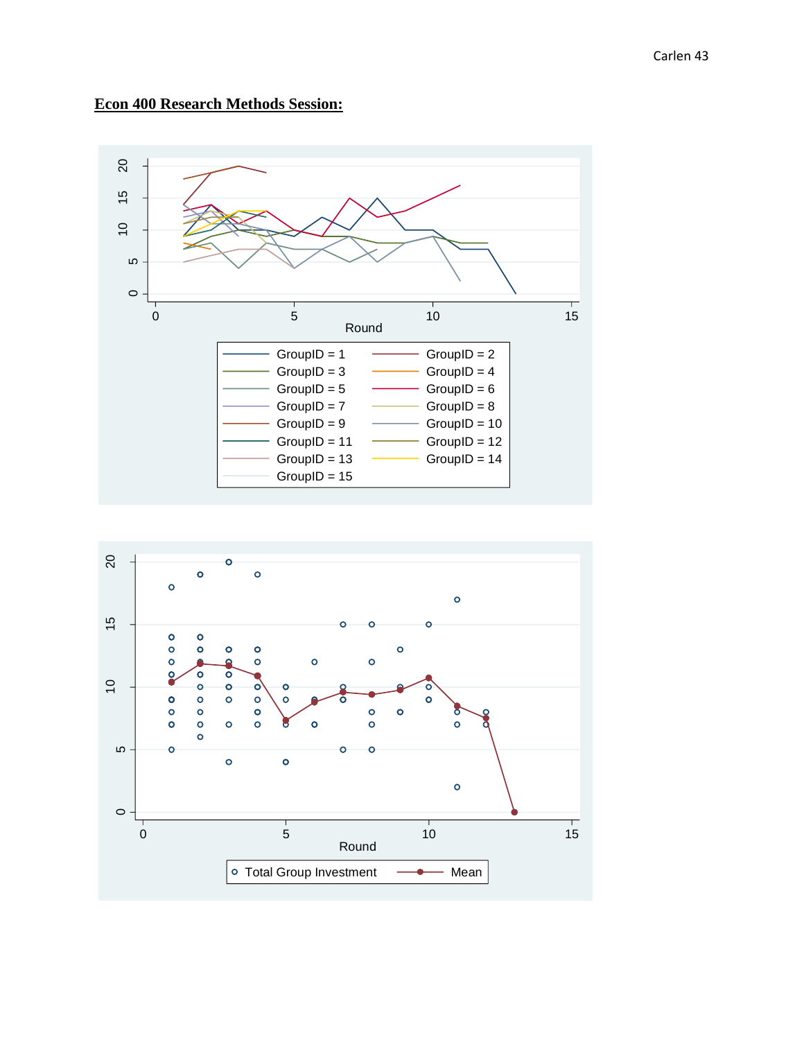### **Econ 400 Research Methods Session:**